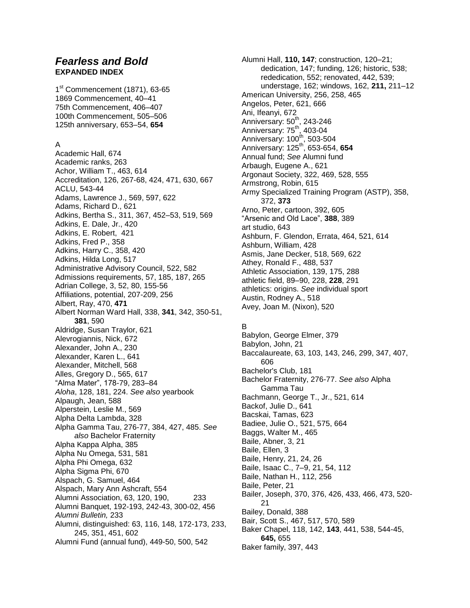# *Fearless and Bold* **EXPANDED INDEX**

1<sup>st</sup> Commencement (1871), 63-65 1869 Commencement, 40–41 75th Commencement, 406–407 100th Commencement, 505–506 125th anniversary, 653–54, **654**

## A

Academic Hall, 674 Academic ranks, 263 Achor, William T., 463, 614 Accreditation, 126, 267-68, 424, 471, 630, 667 ACLU, 543-44 Adams, Lawrence J., 569, 597, 622 Adams, Richard D., 621 Adkins, Bertha S., 311, 367, 452–53, 519, 569 Adkins, E. Dale, Jr., 420 Adkins, E. Robert, 421 Adkins, Fred P., 358 Adkins, Harry C., 358, 420 Adkins, Hilda Long, 517 Administrative Advisory Council, 522, 582 Admissions requirements, 57, 185, 187, 265 Adrian College, 3, 52, 80, 155-56 Affiliations, potential, 207-209, 256 Albert, Ray, 470, **471** Albert Norman Ward Hall, 338, **341**, 342, 350-51, **381**, 590 Aldridge, Susan Traylor, 621 Alevrogiannis, Nick, 672 Alexander, John A., 230 Alexander, Karen L., 641 Alexander, Mitchell, 568 Alles, Gregory D., 565, 617 "Alma Mater", 178-79, 283–84 *Aloha*, 128, 181, 224. *See also* yearbook Alpaugh, Jean, 588 Alperstein, Leslie M., 569 Alpha Delta Lambda, 328 Alpha Gamma Tau, 276-77, 384, 427, 485. *See also* Bachelor Fraternity Alpha Kappa Alpha, 385 Alpha Nu Omega, 531, 581 Alpha Phi Omega, 632 Alpha Sigma Phi, 670 Alspach, G. Samuel, 464 Alspach, Mary Ann Ashcraft, 554 Alumni Association, 63, 120, 190, 233 Alumni Banquet, 192-193, 242-43, 300-02, 456 *Alumni Bulletin,* 233 Alumni, distinguished: 63, 116, 148, 172-173, 233, 245, 351, 451, 602 Alumni Fund (annual fund), 449-50, 500, 542

Alumni Hall, **110, 147**; construction, 120–21; dedication, 147; funding, 126; historic, 538; rededication, 552; renovated, 442, 539; understage, 162; windows, 162, **211,** 211–12 American University, 256, 258, 465 Angelos, Peter, 621, 666 Ani, Ifeanyi, 672 Anniversary: 50<sup>th</sup>, 243-246 Anniversary: 75<sup>th</sup>, 403-04 Anniversary: 100<sup>th</sup>, 503-504 Anniversary: 125th, 653-654, **654** Annual fund; *See* Alumni fund Arbaugh, Eugene A., 621 Argonaut Society, 322, 469, 528, 555 Armstrong, Robin, 615 Army Specialized Training Program (ASTP), 358, 372, **373** Arno, Peter, cartoon, 392, 605 "Arsenic and Old Lace", **388**, 389 art studio, 643 Ashburn, F. Glendon, Errata, 464, 521, 614 Ashburn, William, 428 Asmis, Jane Decker, 518, 569, 622 Athey, Ronald F., 488, 537 Athletic Association, 139, 175, 288 athletic field, 89–90, 228, **228**, 291 athletics: origins. *See* individual sport Austin, Rodney A., 518 Avey, Joan M. (Nixon), 520

## B

Babylon, George Elmer, 379 Babylon, John, 21 Baccalaureate, 63, 103, 143, 246, 299, 347, 407, 606 Bachelor's Club, 181 Bachelor Fraternity, 276-77. *See also* Alpha Gamma Tau Bachmann, George T., Jr., 521, 614 Backof, Julie D., 641 Bacskai, Tamas, 623 Badiee, Julie O., 521, 575, 664 Baggs, Walter M., 465 Baile, Abner, 3, 21 Baile, Ellen, 3 Baile, Henry, 21, 24, 26 Baile, Isaac C., 7–9, 21, 54, 112 Baile, Nathan H., 112, 256 Baile, Peter, 21 Bailer, Joseph, 370, 376, 426, 433, 466, 473, 520- 21 Bailey, Donald, 388 Bair, Scott S., 467, 517, 570, 589 Baker Chapel, 118, 142, **143**, 441, 538, 544-45, **645,** 655 Baker family, 397, 443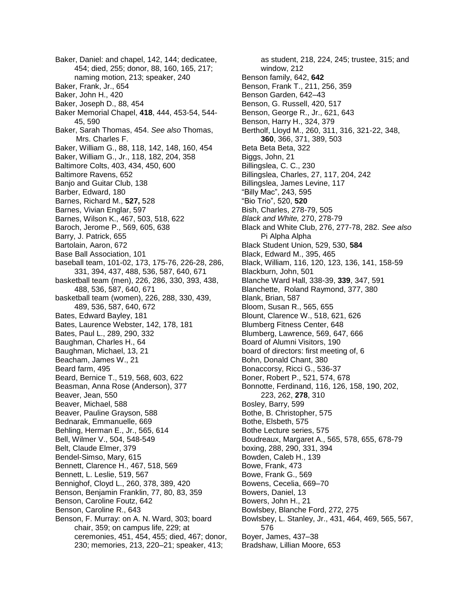Baker, Daniel: and chapel, 142, 144; dedicatee, 454; died, 255; donor, 88, 160, 165, 217; naming motion, 213; speaker, 240 Baker, Frank, Jr., 654 Baker, John H., 420 Baker, Joseph D., 88, 454 Baker Memorial Chapel, **418**, 444, 453-54, 544- 45, 590 Baker, Sarah Thomas, 454. *See also* Thomas, Mrs. Charles F. Baker, William G., 88, 118, 142, 148, 160, 454 Baker, William G., Jr., 118, 182, 204, 358 Baltimore Colts, 403, 434, 450, 600 Baltimore Ravens, 652 Banjo and Guitar Club, 138 Barber, Edward, 180 Barnes, Richard M., **527,** 528 Barnes, Vivian Englar, 597 Barnes, Wilson K., 467, 503, 518, 622 Baroch, Jerome P., 569, 605, 638 Barry, J. Patrick, 655 Bartolain, Aaron, 672 Base Ball Association, 101 baseball team, 101-02, 173, 175-76, 226-28, 286, 331, 394, 437, 488, 536, 587, 640, 671 basketball team (men), 226, 286, 330, 393, 438, 488, 536, 587, 640, 671 basketball team (women), 226, 288, 330, 439, 489, 536, 587, 640, 672 Bates, Edward Bayley, 181 Bates, Laurence Webster, 142, 178, 181 Bates, Paul L., 289, 290, 332 Baughman, Charles H., 64 Baughman, Michael, 13, 21 Beacham, James W., 21 Beard farm, 495 Beard, Bernice T., 519, 568, 603, 622 Beasman, Anna Rose (Anderson), 377 Beaver, Jean, 550 Beaver, Michael, 588 Beaver, Pauline Grayson, 588 Bednarak, Emmanuelle, 669 Behling, Herman E., Jr., 565, 614 Bell, Wilmer V., 504, 548-549 Belt, Claude Elmer, 379 Bendel-Simso, Mary, 615 Bennett, Clarence H., 467, 518, 569 Bennett, L. Leslie, 519, 567 Bennighof, Cloyd L., 260, 378, 389, 420 Benson, Benjamin Franklin, 77, 80, 83, 359 Benson, Caroline Foutz, 642 Benson, Caroline R., 643 Benson, F. Murray: on A. N. Ward, 303; board chair, 359; on campus life, 229; at ceremonies, 451, 454, 455; died, 467; donor, 230; memories, 213, 220–21; speaker, 413;

as student, 218, 224, 245; trustee, 315; and window, 212 Benson family, 642, **642** Benson, Frank T., 211, 256, 359 Benson Garden, 642–43 Benson, G. Russell, 420, 517 Benson, George R., Jr., 621, 643 Benson, Harry H., 324, 379 Bertholf, Lloyd M., 260, 311, 316, 321-22, 348, **360**, 366, 371, 389, 503 Beta Beta Beta, 322 Biggs, John, 21 Billingslea, C. C., 230 Billingslea, Charles, 27, 117, 204, 242 Billingslea, James Levine, 117 "Billy Mac", 243, 595 "Bio Trio", 520, **520** Bish, Charles, 278-79, 505 *Black and White,* 270, 278-79 Black and White Club, 276, 277-78, 282. *See also* Pi Alpha Alpha Black Student Union, 529, 530, **584** Black, Edward M., 395, 465 Black, William, 116, 120, 123, 136, 141, 158-59 Blackburn, John, 501 Blanche Ward Hall, 338-39, **339**, 347, 591 Blanchette, Roland Raymond, 377, 380 Blank, Brian, 587 Bloom, Susan R., 565, 655 Blount, Clarence W., 518, 621, 626 Blumberg Fitness Center, 648 Blumberg, Lawrence, 569, 647, 666 Board of Alumni Visitors, 190 board of directors: first meeting of, 6 Bohn, Donald Chant, 380 Bonaccorsy, Ricci G., 536-37 Boner, Robert P., 521, 574, 678 Bonnotte, Ferdinand, 116, 126, 158, 190, 202, 223, 262, **278**, 310 Bosley, Barry, 599 Bothe, B. Christopher, 575 Bothe, Elsbeth, 575 Bothe Lecture series, 575 Boudreaux, Margaret A., 565, 578, 655, 678-79 boxing, 288, 290, 331, 394 Bowden, Caleb H., 139 Bowe, Frank, 473 Bowe, Frank G., 569 Bowens, Cecelia, 669–70 Bowers, Daniel, 13 Bowers, John H., 21 Bowlsbey, Blanche Ford, 272, 275 Bowlsbey, L. Stanley, Jr., 431, 464, 469, 565, 567, 576 Boyer, James, 437–38 Bradshaw, Lillian Moore, 653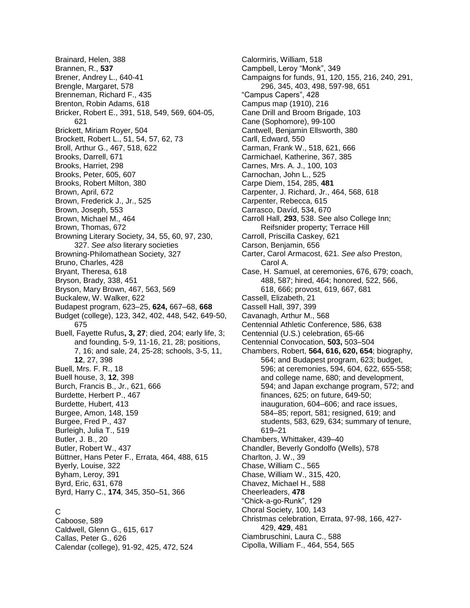Brainard, Helen, 388 Brannen, R., **537** Brener, Andrey L., 640-41 Brengle, Margaret, 578 Brenneman, Richard F., 435 Brenton, Robin Adams, 618 Bricker, Robert E., 391, 518, 549, 569, 604-05, 621 Brickett, Miriam Royer, 504 Brockett, Robert L., 51, 54, 57, 62, 73 Broll, Arthur G., 467, 518, 622 Brooks, Darrell, 671 Brooks, Harriet, 298 Brooks, Peter, 605, 607 Brooks, Robert Milton, 380 Brown, April, 672 Brown, Frederick J., Jr., 525 Brown, Joseph, 553 Brown, Michael M., 464 Brown, Thomas, 672 Browning Literary Society, 34, 55, 60, 97, 230, 327. *See also* literary societies Browning-Philomathean Society, 327 Bruno, Charles, 428 Bryant, Theresa, 618 Bryson, Brady, 338, 451 Bryson, Mary Brown, 467, 563, 569 Buckalew, W. Walker, 622 Budapest program, 623–25, **624,** 667–68, **668** Budget (college), 123, 342, 402, 448, 542, 649-50, 675 Buell, Fayette Rufus**, 3, 27**; died, 204; early life, 3; and founding, 5-9, 11-16, 21, 28; positions, 7, 16; and sale, 24, 25-28; schools, 3-5, 11, **12**, 27, 398 Buell, Mrs. F. R., 18 Buell house, 3, **12**, 398 Burch, Francis B., Jr., 621, 666 Burdette, Herbert P., 467 Burdette, Hubert, 413 Burgee, Amon, 148, 159 Burgee, Fred P., 437 Burleigh, Julia T., 519 Butler, J. B., 20 Butler, Robert W., 437 Büttner, Hans Peter F., Errata, 464, 488, 615 Byerly, Louise, 322 Byham, Leroy, 391 Byrd, Eric, 631, 678 Byrd, Harry C., **174**, 345, 350–51, 366

## C

Caboose, 589 Caldwell, Glenn G., 615, 617 Callas, Peter G., 626 Calendar (college), 91-92, 425, 472, 524 Calormiris, William, 518 Campbell, Leroy "Monk", 349 Campaigns for funds, 91, 120, 155, 216, 240, 291, 296, 345, 403, 498, 597-98, 651 "Campus Capers", 428 Campus map (1910), 216 Cane Drill and Broom Brigade, 103 Cane (Sophomore), 99-100 Cantwell, Benjamin Ellsworth, 380 Carll, Edward, 550 Carman, Frank W., 518, 621, 666 Carmichael, Katherine, 367, 385 Carnes, Mrs. A. J., 100, 103 Carnochan, John L., 525 Carpe Diem, 154, 285, **481** Carpenter, J. Richard, Jr., 464, 568, 618 Carpenter, Rebecca, 615 Carrasco, Davíd, 534, 670 Carroll Hall, **293**, 538. See also College Inn; Reifsnider property; Terrace Hill Carroll, Priscilla Caskey, 621 Carson, Benjamin, 656 Carter, Carol Armacost, 621. *See also* Preston, Carol A. Case, H. Samuel, at ceremonies, 676, 679; coach, 488, 587; hired, 464; honored, 522, 566, 618, 666; provost, 619, 667, 681 Cassell, Elizabeth, 21 Cassell Hall, 397, 399 Cavanagh, Arthur M., 568 Centennial Athletic Conference, 586, 638 Centennial (U.S.) celebration, 65-66 Centennial Convocation, **503,** 503–504 Chambers, Robert, **564, 616, 620, 654**; biography, 564; and Budapest program, 623; budget, 596; at ceremonies, 594, 604, 622, 655-558; and college name, 680; and development, 594; and Japan exchange program, 572; and finances, 625; on future, 649-50; inauguration, 604–606; and race issues, 584–85; report, 581; resigned, 619; and students, 583, 629, 634; summary of tenure, 619–21 Chambers, Whittaker, 439–40 Chandler, Beverly Gondolfo (Wells), 578 Charlton, J. W., 39 Chase, William C., 565 Chase, William W., 315, 420, Chavez, Michael H., 588 Cheerleaders, **478** "Chick-a-go-Runk", 129 Choral Society, 100, 143 Christmas celebration, Errata, 97-98, 166, 427- 429, **429**, 481 Ciambruschini, Laura C., 588 Cipolla, William F., 464, 554, 565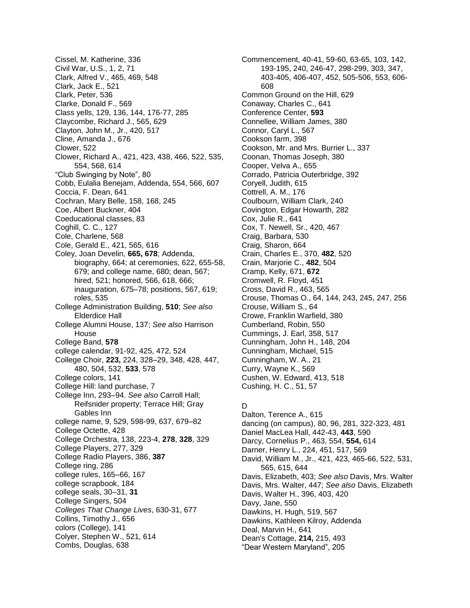Cissel, M. Katherine, 336 Civil War, U.S., 1, 2, 71 Clark, Alfred V., 465, 469, 548 Clark, Jack E., 521 Clark, Peter, 536 Clarke, Donald F., 569 Class yells, 129, 136, 144, 176-77, 285 Claycombe, Richard J., 565, 629 Clayton, John M., Jr., 420, 517 Cline, Amanda J., 676 Clower, 522 Clower, Richard A., 421, 423, 438, 466, 522, 535, 554, 568, 614 "Club Swinging by Note", 80 Cobb, Eulalia Benejam, Addenda, 554, 566, 607 Coccia, F. Dean, 641 Cochran, Mary Belle, 158, 168, 245 Coe, Albert Buckner, 404 Coeducational classes, 83 Coghill, C. C., 127 Cole, Charlene, 568 Cole, Gerald E., 421, 565, 616 Coley, Joan Develin, **665, 678**; Addenda, biography, 664; at ceremonies, 622, 655-58, 679; and college name, 680; dean, 567; hired, 521; honored, 566, 618, 666; inauguration, 675–78; positions, 567, 619; roles, 535 College Administration Building, **510**; *See also* Elderdice Hall College Alumni House, 137; *See also* Harrison House College Band, **578** college calendar, 91-92, 425, 472, 524 College Choir, **223,** 224, 328–29, 348, 428, 447, 480, 504, 532, **533**, 578 College colors, 141 College Hill: land purchase, 7 College Inn, 293–94. *See also* Carroll Hall; Reifsnider property; Terrace Hill; Gray Gables Inn college name, 9, 529, 598-99, 637, 679–82 College Octette, 428 College Orchestra, 138, 223-4, **278**, **328**, 329 College Players, 277, 329 College Radio Players, 386, **387** College ring, 286 college rules, 165–66, 167 college scrapbook, 184 college seals, 30–31, **31** College Singers, 504 *Colleges That Change Lives*, 630-31, 677 Collins, Timothy J., 656 colors (College), 141 Colyer, Stephen W., 521, 614 Combs, Douglas, 638

Commencement, 40-41, 59-60, 63-65, 103, 142, 193-195, 240, 246-47, 298-299, 303, 347, 403-405, 406-407, 452, 505-506, 553, 606- 608 Common Ground on the Hill, 629 Conaway, Charles C., 641 Conference Center, **593** Connellee, William James, 380 Connor, Caryl L., 567 Cookson farm, 398 Cookson, Mr. and Mrs. Burrier L., 337 Coonan, Thomas Joseph, 380 Cooper, Velva A., 655 Corrado, Patricia Outerbridge, 392 Coryell, Judith, 615 Cottrell, A. M., 176 Coulbourn, William Clark, 240 Covington, Edgar Howarth, 282 Cox, Julie R., 641 Cox, T. Newell, Sr., 420, 467 Craig, Barbara, 530 Craig, Sharon, 664 Crain, Charles E., 370, **482**, 520 Crain, Marjorie C., **482**, 504 Cramp, Kelly, 671, **672** Cromwell, R. Floyd, 451 Cross, David R., 463, 565 Crouse, Thomas O., 64, 144, 243, 245, 247, 256 Crouse, William S., 64 Crowe, Franklin Warfield, 380 Cumberland, Robin, 550 Cummings, J. Earl, 358, 517 Cunningham, John H., 148, 204 Cunningham, Michael, 515 Cunningham, W. A., 21 Curry, Wayne K., 569 Cushen, W. Edward, 413, 518 Cushing, H. C., 51, 57

### D

Dalton, Terence A., 615 dancing (on campus), 80, 96, 281, 322-323, 481 Daniel MacLea Hall, 442-43, **443**, 590 Darcy, Cornelius P., 463, 554, **554,** 614 Darner, Henry L., 224, 451, 517, 569 David, William M., Jr., 421, 423, 465-66, 522, 531, 565, 615, 644 Davis, Elizabeth, 403; *See also* Davis, Mrs. Walter Davis, Mrs. Walter, 447; *See also* Davis, Elizabeth Davis, Walter H., 396, 403, 420 Davy, Jane, 550 Dawkins, H. Hugh, 519, 567 Dawkins, Kathleen Kilroy, Addenda Deal, Marvin H., 641 Dean's Cottage, **214,** 215, 493 "Dear Western Maryland", 205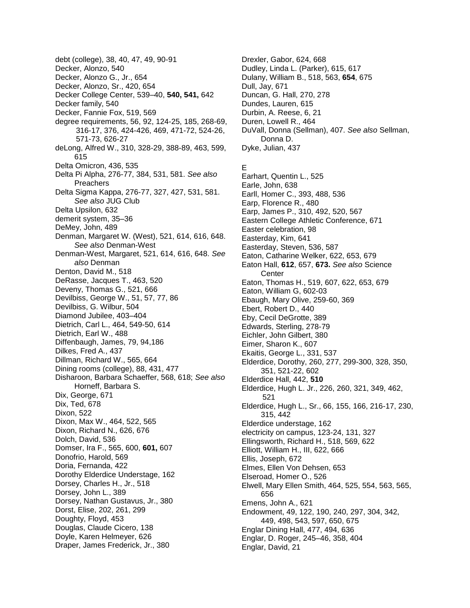debt (college), 38, 40, 47, 49, 90-91 Decker, Alonzo, 540 Decker, Alonzo G., Jr., 654 Decker, Alonzo, Sr., 420, 654 Decker College Center, 539–40, **540, 541,** 642 Decker family, 540 Decker, Fannie Fox, 519, 569 degree requirements, 56, 92, 124-25, 185, 268-69, 316-17, 376, 424-426, 469, 471-72, 524-26, 571-73, 626-27 deLong, Alfred W., 310, 328-29, 388-89, 463, 599, 615 Delta Omicron, 436, 535 Delta Pi Alpha, 276-77, 384, 531, 581. *See also* Preachers Delta Sigma Kappa, 276-77, 327, 427, 531, 581. *See also* JUG Club Delta Upsilon, 632 demerit system, 35–36 DeMey, John, 489 Denman, Margaret W. (West), 521, 614, 616, 648. *See also* Denman-West Denman-West, Margaret, 521, 614, 616, 648. *See also* Denman Denton, David M., 518 DeRasse, Jacques T., 463, 520 Deveny, Thomas G., 521, 666 Devilbiss, George W., 51, 57, 77, 86 Devilbiss, G. Wilbur, 504 Diamond Jubilee, 403–404 Dietrich, Carl L., 464, 549-50, 614 Dietrich, Earl W., 488 Diffenbaugh, James, 79, 94,186 Dilkes, Fred A., 437 Dillman, Richard W., 565, 664 Dining rooms (college), 88, 431, 477 Disharoon, Barbara Schaeffer, 568, 618; *See also* Horneff, Barbara S. Dix, George, 671 Dix, Ted, 678 Dixon, 522 Dixon, Max W., 464, 522, 565 Dixon, Richard N., 626, 676 Dolch, David, 536 Domser, Ira F., 565, 600, **601,** 607 Donofrio, Harold, 569 Doria, Fernanda, 422 Dorothy Elderdice Understage, 162 Dorsey, Charles H., Jr., 518 Dorsey, John L., 389 Dorsey, Nathan Gustavus, Jr., 380 Dorst, Elise, 202, 261, 299 Doughty, Floyd, 453 Douglas, Claude Cicero, 138 Doyle, Karen Helmeyer, 626 Draper, James Frederick, Jr., 380

Drexler, Gabor, 624, 668 Dudley, Linda L. (Parker), 615, 617 Dulany, William B., 518, 563, **654**, 675 Dull, Jay, 671 Duncan, G. Hall, 270, 278 Dundes, Lauren, 615 Durbin, A. Reese, 6, 21 Duren, Lowell R., 464 DuVall, Donna (Sellman), 407. *See also* Sellman, Donna D. Dyke, Julian, 437

# E

Earhart, Quentin L., 525 Earle, John, 638 Earll, Homer C., 393, 488, 536 Earp, Florence R., 480 Earp, James P., 310, 492, 520, 567 Eastern College Athletic Conference, 671 Easter celebration, 98 Easterday, Kim, 641 Easterday, Steven, 536, 587 Eaton, Catharine Welker, 622, 653, 679 Eaton Hall, **612**, 657, **673.** *See also* Science **Center** Eaton, Thomas H., 519, 607, 622, 653, 679 Eaton, William G, 602-03 Ebaugh, Mary Olive, 259-60, 369 Ebert, Robert D., 440 Eby, Cecil DeGrotte, 389 Edwards, Sterling, 278-79 Eichler, John Gilbert, 380 Eimer, Sharon K., 607 Ekaitis, George L., 331, 537 Elderdice, Dorothy, 260, 277, 299-300, 328, 350, 351, 521-22, 602 Elderdice Hall, 442, **510** Elderdice, Hugh L. Jr., 226, 260, 321, 349, 462, 521 Elderdice, Hugh L., Sr., 66, 155, 166, 216-17, 230, 315, 442 Elderdice understage, 162 electricity on campus, 123-24, 131, 327 Ellingsworth, Richard H., 518, 569, 622 Elliott, William H., III, 622, 666 Ellis, Joseph, 672 Elmes, Ellen Von Dehsen, 653 Elseroad, Homer O., 526 Elwell, Mary Ellen Smith, 464, 525, 554, 563, 565, 656 Emens, John A., 621 Endowment, 49, 122, 190, 240, 297, 304, 342, 449, 498, 543, 597, 650, 675 Englar Dining Hall, 477, 494, 636 Englar, D. Roger, 245–46, 358, 404 Englar, David, 21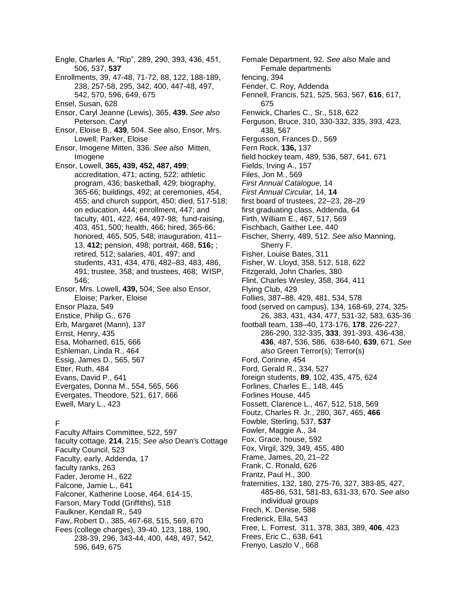Engle, Charles A. "Rip", 289, 290, 393, 436, 451, 506, 537, **537** Enrollments, 39, 47-48, 71-72, 88, 122, 188-189, 238, 257-58, 295, 342, 400, 447-48, 497, 542, 570, 596, 649, 675 Ensel, Susan, 628 Ensor, Caryl Jeanne (Lewis), 365, **439.** *See also* Peterson, Caryl Ensor, Eloise B., **439**, 504. See also, Ensor, Mrs. Lowell; Parker, Eloise Ensor, Imogene Mitten, 336. *See also* Mitten, Imogene Ensor, Lowell, **365, 439, 452, 487, 499**; accreditation, 471; acting, 522; athletic program, 436; basketball, 429; biography, 365-66; buildings, 492; at ceremonies, 454, 455; and church support, 450; died, 517-518; on education, 444; enrollment, 447; and faculty, 401, 422, 464, 497-98; fund-raising, 403, 451, 500; health, 466; hired, 365-66; honored, 465, 505, 548; inauguration, 411– 13, **412;** pension, 498; portrait, 468, **516;** ; retired, 512; salaries, 401, 497; and students, 431, 434, 476, 482–83, 483, 486, 491; trustee, 358; and trustees, 468; WISP, 546; Ensor, Mrs. Lowell, **439,** 504; See also Ensor, Eloise; Parker, Eloise Ensor Plaza, 549 Enstice, Philip G., 676 Erb, Margaret (Mann), 137 Ernst, Henry, 435 Esa, Mohamed, 615, 666 Eshleman, Linda R., 464 Essig, James D., 565, 567 Etter, Ruth, 484 Evans, David P., 641 Evergates, Donna M., 554, 565, 566 Evergates, Theodore, 521, 617, 666 Ewell, Mary L., 423 F Faculty Affairs Committee, 522, 597 faculty cottage, **214**, 215; *See also* Dean's Cottage Faculty Council, 523

Faculty, early, Addenda, 17 faculty ranks, 263 Fader, Jerome H., 622 Falcone, Jamie L., 641 Falconer, Katherine Loose, 464, 614-15, Farson, Mary Todd (Griffiths), 518 Faulkner, Kendall R., 549 Faw, Robert D., 385, 467-68, 515, 569, 670 Fees (college charges), 39-40, 123, 188, 190, 238-39, 296, 343-44, 400, 448, 497, 542, 596, 649, 675

Female Department, 92. *See also* Male and Female departments fencing, 394 Fender, C. Roy, Addenda Fennell, Francis, 521, 525, 563, 567, **616**, 617, 675 Fenwick, Charles C., Sr., 518, 622 Ferguson, Bruce, 310, 330-332, 335, 393, 423, 438, 567 Fergusson, Frances D., 569 Fern Rock, **136,** 137 field hockey team, 489, 536, 587, 641, 671 Fields, Irving A., 157 Files, Jon M., 569 *First Annual Catalogue,* 14 *First Annual Circular,* 14, **14** first board of trustees, 22–23, 28–29 first graduating class, Addenda, 64 Firth, William E., 467, 517, 569 Fischbach, Gaither Lee, 440 Fischer, Sherry, 489, 512. *See also* Manning, Sherry F. Fisher, Louise Bates, 311 Fisher, W. Lloyd, 358, 512, 518, 622 Fitzgerald, John Charles, 380 Flint, Charles Wesley, 358, 364, 411 Flying Club, 429 Follies, 387–88, 429, 481, 534, 578 food (served on campus), 134, 168-69, 274, 325- 26, 383, 431, 434, 477, 531-32, 583, 635-36 football team, 138–40, 173-176, **178**, 226-227, 286-290, 332-335, **333**, 391-393, 436-438, **436**, 487, 536, 586, 638-640, **639**, 671. *See also* Green Terror(s); Terror(s) Ford, Corinne, 454 Ford, Gerald R., 334, 527 foreign students, **89**, 102, 435, 475, 624 Forlines, Charles E., 148, 445 Forlines House, 445 Fossett, Clarence L., 467, 512, 518, 569 Foutz, Charles R. Jr., 280, 367, 465, **466** Fowble, Sterling, 537, **537** Fowler, Maggie A., 34 Fox, Grace, house, 592 Fox, Virgil, 329, 349, 455, 480 Frame, James, 20, 21–22 Frank, C. Ronald, 626 Frantz, Paul H., 300 fraternities, 132, 180, 275-76, 327, 383-85, 427, 485-86, 531, 581-83, 631-33, 670. *See also* individual groups Frech, K. Denise, 588 Frederick, Ella, 543 Free, L. Forrest, 311, 378, 383, 389, **406**, 423 Frees, Eric C., 638, 641 Frenyo, Laszlo V., 668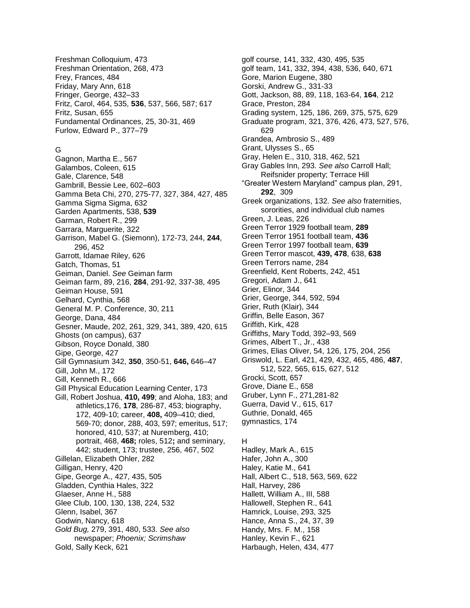Freshman Colloquium, 473 Freshman Orientation, 268, 473 Frey, Frances, 484 Friday, Mary Ann, 618 Fringer, George, 432–33 Fritz, Carol, 464, 535, **536**, 537, 566, 587; 617 Fritz, Susan, 655 Fundamental Ordinances, 25, 30-31, 469 Furlow, Edward P., 377–79

#### G

Gagnon, Martha E., 567 Galambos, Coleen, 615 Gale, Clarence, 548 Gambrill, Bessie Lee, 602–603 Gamma Beta Chi, 270, 275-77, 327, 384, 427, 485 Gamma Sigma Sigma, 632 Garden Apartments, 538, **539** Garman, Robert R., 299 Garrara, Marguerite, 322 Garrison, Mabel G. (Siemonn), 172-73, 244, **244**, 296, 452 Garrott, Idamae Riley, 626 Gatch, Thomas, 51 Geiman, Daniel. *See* Geiman farm Geiman farm, 89, 216, **284**, 291-92, 337-38, 495 Geiman House, 591 Gelhard, Cynthia, 568 General M. P. Conference, 30, 211 George, Dana, 484 Gesner, Maude, 202, 261, 329, 341, 389, 420, 615 Ghosts (on campus), 637 Gibson, Royce Donald, 380 Gipe, George, 427 Gill Gymnasium 342, **350**, 350-51, **646,** 646–47 Gill, John M., 172 Gill, Kenneth R., 666 Gill Physical Education Learning Center, 173 Gill, Robert Joshua, **410, 499**; and Aloha, 183; and athletics,176, **178**, 286-87, 453; biography, 172, 409-10; career, **408,** 409–410; died, 569-70; donor, 288, 403, 597; emeritus, 517; honored, 410, 537; at Nuremberg, 410; portrait, 468, **468;** roles, 512**;** and seminary, 442; student, 173; trustee, 256, 467, 502 Gillelan, Elizabeth Ohler, 282 Gilligan, Henry, 420 Gipe, George A., 427, 435, 505 Gladden, Cynthia Hales, 322 Glaeser, Anne H., 588 Glee Club, 100, 130, 138, 224, 532 Glenn, Isabel, 367 Godwin, Nancy, 618 *Gold Bug,* 279, 391, 480, 533. *See also* newspaper; *Phoenix; Scrimshaw* Gold, Sally Keck, 621

golf course, 141, 332, 430, 495, 535 golf team, 141, 332, 394, 438, 536, 640, 671 Gore, Marion Eugene, 380 Gorski, Andrew G., 331-33 Gott, Jackson, 88, 89, 118, 163-64, **164**, 212 Grace, Preston, 284 Grading system, 125, 186, 269, 375, 575, 629 Graduate program, 321, 376, 426, 473, 527, 576, 629 Grandea, Ambrosio S., 489 Grant, Ulysses S., 65 Gray, Helen E., 310, 318, 462, 521 Gray Gables Inn, 293. *See also* Carroll Hall; Reifsnider property; Terrace Hill "Greater Western Maryland" campus plan, 291, **292**, 309 Greek organizations, 132. *See also* fraternities, sororities, and individual club names Green, J. Leas, 226 Green Terror 1929 football team, **289** Green Terror 1951 football team, **436** Green Terror 1997 football team, **639** Green Terror mascot, **439, 478**, 638, **638** Green Terrors name, 284 Greenfield, Kent Roberts, 242, 451 Gregori, Adam J., 641 Grier, Elinor, 344 Grier, George, 344, 592, 594 Grier, Ruth (Klair), 344 Griffin, Belle Eason, 367 Griffith, Kirk, 428 Griffiths, Mary Todd, 392–93, 569 Grimes, Albert T., Jr., 438 Grimes, Elias Oliver, 54, 126, 175, 204, 256 Griswold, L. Earl, 421, 429, 432, 465, 486, **487**, 512, 522, 565, 615, 627, 512 Grocki, Scott, 657 Grove, Diane E., 658 Gruber, Lynn F., 271,281-82 Guerra, David V., 615, 617 Guthrie, Donald, 465 gymnastics, 174

#### H

Hadley, Mark A., 615 Hafer, John A., 300 Haley, Katie M., 641 Hall, Albert C., 518, 563, 569, 622 Hall, Harvey, 286 Hallett, William A., III, 588 Hallowell, Stephen R., 641 Hamrick, Louise, 293, 325 Hance, Anna S., 24, 37, 39 Handy, Mrs. F. M., 158 Hanley, Kevin F., 621 Harbaugh, Helen, 434, 477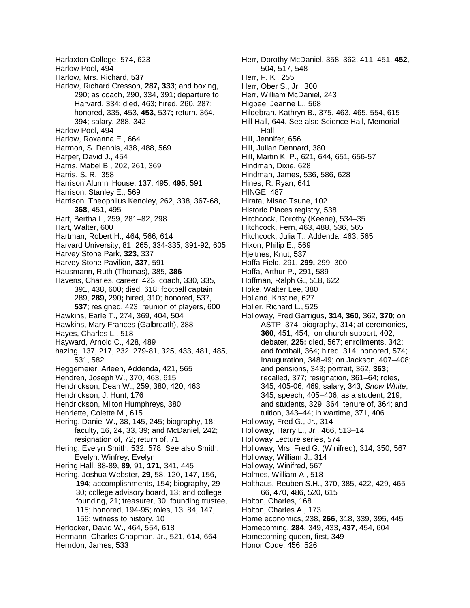Harlaxton College, 574, 623 Harlow Pool, 494 Harlow, Mrs. Richard, **537** Harlow, Richard Cresson, **287, 333**; and boxing, 290; as coach, 290, 334, 391; departure to Harvard, 334; died, 463; hired, 260, 287; honored, 335, 453, **453,** 537**;** return, 364, 394; salary, 288, 342 Harlow Pool, 494 Harlow, Roxanna E., 664 Harmon, S. Dennis, 438, 488, 569 Harper, David J., 454 Harris, Mabel B., 202, 261, 369 Harris, S. R., 358 Harrison Alumni House, 137, 495, **495**, 591 Harrison, Stanley E., 569 Harrison, Theophilus Kenoley, 262, 338, 367-68, **368**, 451, 495 Hart, Bertha I., 259, 281–82, 298 Hart, Walter, 600 Hartman, Robert H., 464, 566, 614 Harvard University, 81, 265, 334-335, 391-92, 605 Harvey Stone Park, **323,** 337 Harvey Stone Pavilion, **337**, 591 Hausmann, Ruth (Thomas), 385, **386** Havens, Charles, career, 423; coach, 330, 335, 391, 438, 600; died, 618; football captain, 289, **289,** 290**;** hired, 310; honored, 537, **537**; resigned, 423; reunion of players, 600 Hawkins, Earle T., 274, 369, 404, 504 Hawkins, Mary Frances (Galbreath), 388 Hayes, Charles L., 518 Hayward, Arnold C., 428, 489 hazing, 137, 217, 232, 279-81, 325, 433, 481, 485, 531, 582 Heggemeier, Arleen, Addenda, 421, 565 Hendren, Joseph W., 370, 463, 615 Hendrickson, Dean W., 259, 380, 420, 463 Hendrickson, J. Hunt, 176 Hendrickson, Milton Humphreys, 380 Henriette, Colette M., 615 Hering, Daniel W., 38, 145, 245; biography, 18; faculty, 16, 24, 33, 39; and McDaniel, 242; resignation of, 72; return of, 71 Hering, Evelyn Smith, 532, 578. See also Smith, Evelyn; Winfrey, Evelyn Hering Hall, 88-89, **89**, 91, **171**, 341, 445 Hering, Joshua Webster, **29**, 58, 120, 147, 156, **194**; accomplishments, 154; biography, 29– 30; college advisory board, 13; and college founding, 21; treasurer, 30; founding trustee, 115; honored, 194-95; roles, 13, 84, 147, 156; witness to history, 10 Herlocker, David W., 464, 554, 618 Hermann, Charles Chapman, Jr., 521, 614, 664 Herndon, James, 533

Herr, Dorothy McDaniel, 358, 362, 411, 451, **452**, 504, 517, 548 Herr, F. K., 255 Herr, Ober S., Jr., 300 Herr, William McDaniel, 243 Higbee, Jeanne L., 568 Hildebran, Kathryn B., 375, 463, 465, 554, 615 Hill Hall, 644. See also Science Hall, Memorial Hall Hill, Jennifer, 656 Hill, Julian Dennard, 380 Hill, Martin K. P., 621, 644, 651, 656-57 Hindman, Dixie, 628 Hindman, James, 536, 586, 628 Hines, R. Ryan, 641 HINGE, 487 Hirata, Misao Tsune, 102 Historic Places registry, 538 Hitchcock, Dorothy (Keene), 534–35 Hitchcock, Fern, 463, 488, 536, 565 Hitchcock, Julia T., Addenda, 463, 565 Hixon, Philip E., 569 Hjeltnes, Knut, 537 Hoffa Field, 291, **299,** 299–300 Hoffa, Arthur P., 291, 589 Hoffman, Ralph G., 518, 622 Hoke, Walter Lee, 380 Holland, Kristine, 627 Holler, Richard L., 525 Holloway, Fred Garrigus, **314, 360,** 362**, 370**; on ASTP, 374; biography, 314; at ceremonies, **360**, 451, 454; on church support, 402; debater, **225;** died, 567; enrollments, 342; and football, 364; hired, 314; honored, 574; Inauguration, 348-49; on Jackson, 407–408; and pensions, 343; portrait, 362, **363;**  recalled, 377; resignation, 361–64; roles, 345, 405-06, 469; salary, 343; *Snow White*, 345; speech, 405–406; as a student, 219; and students, 329, 364; tenure of, 364; and tuition, 343–44; in wartime, 371, 406 Holloway, Fred G., Jr., 314 Holloway, Harry L., Jr., 466, 513–14 Holloway Lecture series, 574 Holloway, Mrs. Fred G. (Winifred), 314, 350, 567 Holloway, William J., 314 Holloway, Winifred, 567 Holmes, William A., 518 Holthaus, Reuben S.H., 370, 385, 422, 429, 465- 66, 470, 486, 520, 615 Holton, Charles, 168 Holton, Charles A., 173 Home economics, 238, **266**, 318, 339, 395, 445 Homecoming, **284**, 349, 433, **437**, 454, 604 Homecoming queen, first, 349

Honor Code, 456, 526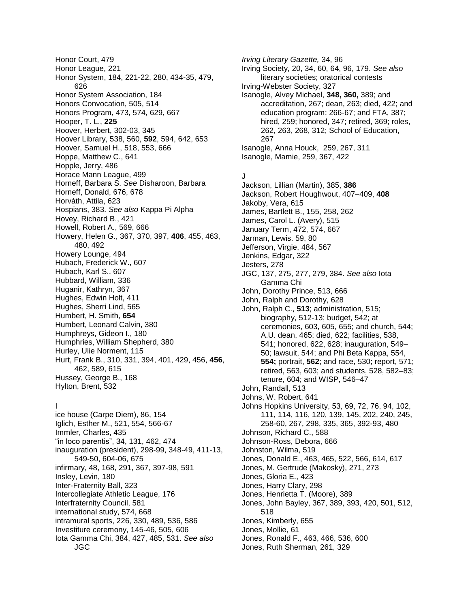Honor Court, 479 Honor League, 221 Honor System, 184, 221-22, 280, 434-35, 479, 626 Honor System Association, 184 Honors Convocation, 505, 514 Honors Program, 473, 574, 629, 667 Hooper, T. L., **225** Hoover, Herbert, 302-03, 345 Hoover Library, 538, 560, **592**, 594, 642, 653 Hoover, Samuel H., 518, 553, 666 Hoppe, Matthew C., 641 Hopple, Jerry, 486 Horace Mann League, 499 Horneff, Barbara S. *See* Disharoon, Barbara Horneff, Donald, 676, 678 Horváth, Attila, 623 Hospians, 383. *See also* Kappa Pi Alpha Hovey, Richard B., 421 Howell, Robert A., 569, 666 Howery, Helen G., 367, 370, 397, **406**, 455, 463, 480, 492 Howery Lounge, 494 Hubach, Frederick W., 607 Hubach, Karl S., 607 Hubbard, William, 336 Huganir, Kathryn, 367 Hughes, Edwin Holt, 411 Hughes, Sherri Lind, 565 Humbert, H. Smith, **654** Humbert, Leonard Calvin, 380 Humphreys, Gideon I., 180 Humphries, William Shepherd, 380 Hurley, Ulie Norment, 115 Hurt, Frank B., 310, 331, 394, 401, 429, 456, **456**, 462, 589, 615 Hussey, George B., 168 Hylton, Brent, 532

### I

ice house (Carpe Diem), 86, 154 Iglich, Esther M., 521, 554, 566-67 Immler, Charles, 435 "in loco parentis", 34, 131, 462, 474 inauguration (president), 298-99, 348-49, 411-13, 549-50, 604-06, 675 infirmary, 48, 168, 291, 367, 397-98, 591 Insley, Levin, 180 Inter-Fraternity Ball, 323 Intercollegiate Athletic League, 176 Interfraternity Council, 581 international study, 574, 668 intramural sports, 226, 330, 489, 536, 586 Investiture ceremony, 145-46, 505, 606 Iota Gamma Chi, 384, 427, 485, 531. *See also* JGC

*Irving Literary Gazette,* 34, 96 Irving Society, 20, 34, 60, 64, 96, 179. *See also* literary societies; oratorical contests Irving-Webster Society, 327 Isanogle, Alvey Michael, **348, 360,** 389; and accreditation, 267; dean, 263; died, 422; and education program: 266-67; and FTA, 387; hired, 259; honored, 347; retired, 369; roles, 262, 263, 268, 312; School of Education, 267 Isanogle, Anna Houck, 259, 267, 311 Isanogle, Mamie, 259, 367, 422

J Jackson, Lillian (Martin), 385, **386** Jackson, Robert Houghwout, 407–409, **408** Jakoby, Vera, 615 James, Bartlett B., 155, 258, 262 James, Carol L. (Avery), 515 January Term, 472, 574, 667 Jarman, Lewis. 59, 80 Jefferson, Virgie, 484, 567 Jenkins, Edgar, 322 Jesters, 278 JGC, 137, 275, 277, 279, 384. *See also* Iota Gamma Chi John, Dorothy Prince, 513, 666 John, Ralph and Dorothy, 628 John, Ralph C., **513**; administration, 515; biography, 512-13; budget, 542; at ceremonies, 603, 605, 655; and church, 544; A.U. dean, 465; died, 622; facilities, 538, 541; honored, 622, 628; inauguration, 549– 50; lawsuit, 544; and Phi Beta Kappa, 554, **554;** portrait, **562**; and race, 530; report, 571; retired, 563, 603; and students, 528, 582–83; tenure, 604; and WISP, 546–47 John, Randall, 513 Johns, W. Robert, 641 Johns Hopkins University, 53, 69, 72, 76, 94, 102, 111, 114, 116, 120, 139, 145, 202, 240, 245, 258-60, 267, 298, 335, 365, 392-93, 480 Johnson, Richard C., 588 Johnson-Ross, Debora, 666 Johnston, Wilma, 519 Jones, Donald E., 463, 465, 522, 566, 614, 617 Jones, M. Gertrude (Makosky), 271, 273 Jones, Gloria E., 423 Jones, Harry Clary, 298 Jones, Henrietta T. (Moore), 389 Jones, John Bayley, 367, 389, 393, 420, 501, 512, 518 Jones, Kimberly, 655 Jones, Mollie, 61 Jones, Ronald F., 463, 466, 536, 600

Jones, Ruth Sherman, 261, 329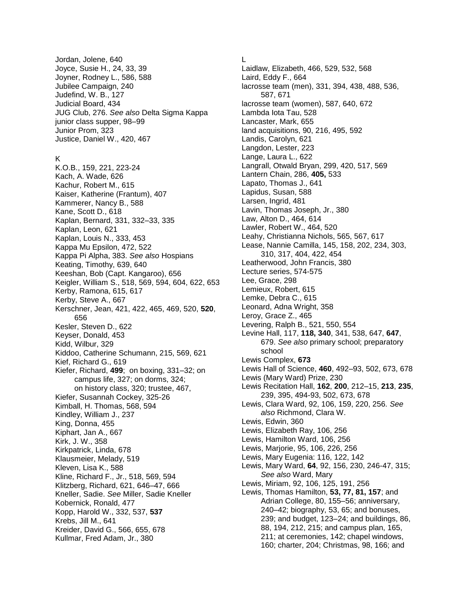Jordan, Jolene, 640 Joyce, Susie H., 24, 33, 39 Joyner, Rodney L., 586, 588 Jubilee Campaign, 240 Judefind, W. B., 127 Judicial Board, 434 JUG Club, 276. *See also* Delta Sigma Kappa junior class supper, 98–99 Junior Prom, 323 Justice, Daniel W., 420, 467

#### K

K.O.B., 159, 221, 223-24 Kach, A. Wade, 626 Kachur, Robert M., 615 Kaiser, Katherine (Frantum), 407 Kammerer, Nancy B., 588 Kane, Scott D., 618 Kaplan, Bernard, 331, 332–33, 335 Kaplan, Leon, 621 Kaplan, Louis N., 333, 453 Kappa Mu Epsilon, 472, 522 Kappa Pi Alpha, 383. *See also* Hospians Keating, Timothy, 639, 640 Keeshan, Bob (Capt. Kangaroo), 656 Keigler, William S., 518, 569, 594, 604, 622, 653 Kerby, Ramona, 615, 617 Kerby, Steve A., 667 Kerschner, Jean, 421, 422, 465, 469, 520, **520**, 656 Kesler, Steven D., 622 Keyser, Donald, 453 Kidd, Wilbur, 329 Kiddoo, Catherine Schumann, 215, 569, 621 Kief, Richard G., 619 Kiefer, Richard, **499**; on boxing, 331–32; on campus life, 327; on dorms, 324; on history class, 320; trustee, 467, Kiefer, Susannah Cockey, 325-26 Kimball, H. Thomas, 568, 594 Kindley, William J., 237 King, Donna, 455 Kiphart, Jan A., 667 Kirk, J. W., 358 Kirkpatrick, Linda, 678 Klausmeier, Melady, 519 Kleven, Lisa K., 588 Kline, Richard F., Jr., 518, 569, 594 Klitzberg, Richard, 621, 646–47, 666 Kneller, Sadie. *See* Miller, Sadie Kneller Kobernick, Ronald, 477 Kopp, Harold W., 332, 537, **537** Krebs, Jill M., 641 Kreider, David G., 566, 655, 678 Kullmar, Fred Adam, Jr., 380

L

Laidlaw, Elizabeth, 466, 529, 532, 568 Laird, Eddy F., 664 lacrosse team (men), 331, 394, 438, 488, 536, 587, 671 lacrosse team (women), 587, 640, 672 Lambda Iota Tau, 528 Lancaster, Mark, 655 land acquisitions, 90, 216, 495, 592 Landis, Carolyn, 621 Langdon, Lester, 223 Lange, Laura L., 622 Langrall, Otwald Bryan, 299, 420, 517, 569 Lantern Chain, 286, **405,** 533 Lapato, Thomas J., 641 Lapidus, Susan, 588 Larsen, Ingrid, 481 Lavin, Thomas Joseph, Jr., 380 Law, Alton D., 464, 614 Lawler, Robert W., 464, 520 Leahy, Christianna Nichols, 565, 567, 617 Lease, Nannie Camilla, 145, 158, 202, 234, 303, 310, 317, 404, 422, 454 Leatherwood, John Francis, 380 Lecture series, 574-575 Lee, Grace, 298 Lemieux, Robert, 615 Lemke, Debra C., 615 Leonard, Adna Wright, 358 Leroy, Grace Z., 465 Levering, Ralph B., 521, 550, 554 Levine Hall, 117, **118, 340**, 341, 538, 647, **647**, 679. *See also* primary school; preparatory school Lewis Complex, **673** Lewis Hall of Science, **460**, 492–93, 502, 673, 678 Lewis (Mary Ward) Prize, 230 Lewis Recitation Hall, **162**, **200**, 212–15, **213**, **235**, 239, 395, 494-93, 502, 673, 678 Lewis, Clara Ward, 92, 106, 159, 220, 256. *See also* Richmond, Clara W. Lewis, Edwin, 360 Lewis, Elizabeth Ray, 106, 256 Lewis, Hamilton Ward, 106, 256 Lewis, Marjorie, 95, 106, 226, 256 Lewis, Mary Eugenia: 116, 122, 142 Lewis, Mary Ward, **64**, 92, 156, 230, 246-47, 315; *See also* Ward, Mary Lewis, Miriam, 92, 106, 125, 191, 256 Lewis, Thomas Hamilton, **53, 77, 81, 157**; and Adrian College, 80, 155–56; anniversary, 240–42; biography, 53, 65; and bonuses, 239; and budget, 123–24; and buildings, 86, 88, 194, 212, 215; and campus plan, 165, 211; at ceremonies, 142; chapel windows, 160; charter, 204; Christmas, 98, 166; and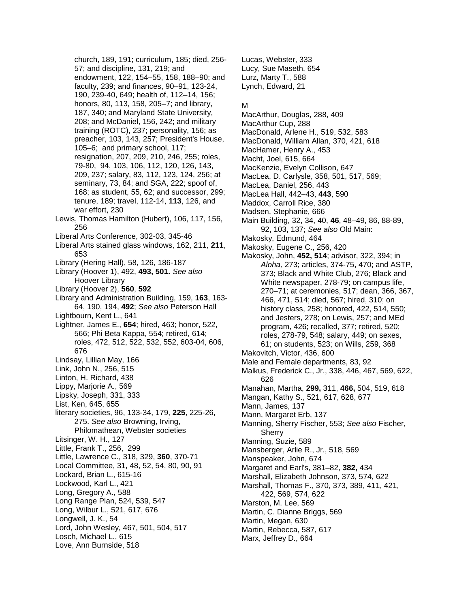church, 189, 191; curriculum, 185; died, 256- 57; and discipline, 131, 219; and endowment, 122, 154–55, 158, 188–90; and faculty, 239; and finances, 90–91, 123-24, 190, 239-40, 649; health of, 112–14, 156; honors, 80, 113, 158, 205–7; and library, 187, 340; and Maryland State University, 208; and McDaniel, 156, 242; and military training (ROTC), 237; personality, 156; as preacher, 103, 143, 257; President's House, 105–6; and primary school, 117; resignation, 207, 209, 210, 246, 255; roles, 79-80, 94, 103, 106, 112, 120, 126, 143, 209, 237; salary, 83, 112, 123, 124, 256; at seminary, 73, 84; and SGA, 222; spoof of, 168; as student, 55, 62; and successor, 299; tenure, 189; travel, 112-14, **113**, 126, and war effort, 230 Lewis, Thomas Hamilton (Hubert), 106, 117, 156, 256 Liberal Arts Conference, 302-03, 345-46 Liberal Arts stained glass windows, 162, 211, **211**, 653 Library (Hering Hall), 58, 126, 186-187 Library (Hoover 1), 492, **493, 501.** *See also* Hoover Library Library (Hoover 2), **560**, **592** Library and Administration Building, 159, **163**, 163- 64, 190, 194, **492**; *See also* Peterson Hall Lightbourn, Kent L., 641 Lightner, James E., **654**; hired, 463; honor, 522, 566; Phi Beta Kappa, 554; retired, 614; roles, 472, 512, 522, 532, 552, 603-04, 606, 676 Lindsay, Lillian May, 166 Link, John N., 256, 515 Linton, H. Richard, 438 Lippy, Marjorie A., 569 Lipsky, Joseph, 331, 333 List, Ken, 645, 655 literary societies, 96, 133-34, 179, **225**, 225-26, 275. *See also* Browning, Irving, Philomathean, Webster societies Litsinger, W. H., 127 Little, Frank T., 256, 299 Little, Lawrence C., 318, 329, **360**, 370-71 Local Committee, 31, 48, 52, 54, 80, 90, 91 Lockard, Brian L., 615-16 Lockwood, Karl L., 421 Long, Gregory A., 588 Long Range Plan, 524, 539, 547 Long, Wilbur L., 521, 617, 676 Longwell, J. K., 54 Lord, John Wesley, 467, 501, 504, 517 Losch, Michael L., 615 Love, Ann Burnside, 518

Lucas, Webster, 333 Lucy, Sue Maseth, 654 Lurz, Marty T., 588 Lynch, Edward, 21

#### M

- MacArthur, Douglas, 288, 409
- MacArthur Cup, 288
- MacDonald, Arlene H., 519, 532, 583
- MacDonald, William Allan, 370, 421, 618
- MacHamer, Henry A., 453
- Macht, Joel, 615, 664
- MacKenzie, Evelyn Collison, 647
- MacLea, D. Carlysle, 358, 501, 517, 569;
- MacLea, Daniel, 256, 443
- MacLea Hall, 442–43, **443**, 590
- Maddox, Carroll Rice, 380
- Madsen, Stephanie, 666
- Main Building, 32, 34, 40, **46**, 48–49, 86, 88-89, 92, 103, 137; *See also* Old Main:
- Makosky, Edmund, 464
- Makosky, Eugene C., 256, 420
- Makosky, John, **452, 514**; advisor, 322, 394; in *Aloha,* 273; articles, 374-75, 470; and ASTP, 373; Black and White Club, 276; Black and White newspaper, 278-79; on campus life, 270–71; at ceremonies, 517; dean, 366, 367, 466, 471, 514; died, 567; hired, 310; on history class, 258; honored, 422, 514, 550; and Jesters, 278; on Lewis, 257; and MEd program, 426; recalled, 377; retired, 520; roles, 278-79, 548; salary, 449; on sexes, 61; on students, 523; on Wills, 259, 368
- Makovitch, Victor, 436, 600
- Male and Female departments, 83, 92
- Malkus, Frederick C., Jr., 338, 446, 467, 569, 622, 626
- Manahan, Martha, **299,** 311, **466,** 504, 519, 618
- Mangan, Kathy S., 521, 617, 628, 677
- Mann, James, 137
- Mann, Margaret Erb, 137
- Manning, Sherry Fischer, 553; *See also* Fischer, Sherry
- Manning, Suzie, 589
- Mansberger, Arlie R., Jr., 518, 569
- Manspeaker, John, 674
- Margaret and Earl's, 381–82, **382,** 434
- Marshall, Elizabeth Johnson, 373, 574, 622
- Marshall, Thomas F., 370, 373, 389, 411, 421,
- 422, 569, 574, 622
- Marston, M. Lee, 569
- Martin, C. Dianne Briggs, 569
- Martin, Megan, 630
- Martin, Rebecca, 587, 617
- Marx, Jeffrey D., 664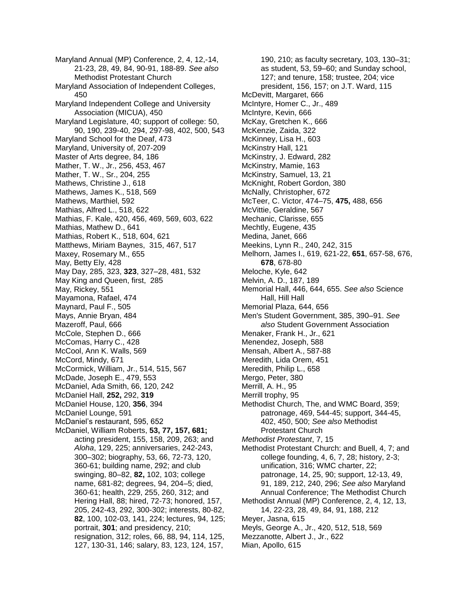Maryland Annual (MP) Conference, 2, 4, 12,-14, 21-23, 28, 49, 84, 90-91, 188-89. *See also* Methodist Protestant Church Maryland Association of Independent Colleges, 450 Maryland Independent College and University Association (MICUA), 450 Maryland Legislature, 40; support of college: 50, 90, 190, 239-40, 294, 297-98, 402, 500, 543 Maryland School for the Deaf, 473 Maryland, University of, 207-209 Master of Arts degree, 84, 186 Mather, T. W., Jr., 256, 453, 467 Mather, T. W., Sr., 204, 255 Mathews, Christine J., 618 Mathews, James K., 518, 569 Mathews, Marthiel, 592 Mathias, Alfred L., 518, 622 Mathias, F. Kale, 420, 456, 469, 569, 603, 622 Mathias, Mathew D., 641 Mathias, Robert K., 518, 604, 621 Matthews, Miriam Baynes, 315, 467, 517 Maxey, Rosemary M., 655 May, Betty Ely, 428 May Day, 285, 323, **323**, 327–28, 481, 532 May King and Queen, first, 285 May, Rickey, 551 Mayamona, Rafael, 474 Maynard, Paul F., 505 Mays, Annie Bryan, 484 Mazeroff, Paul, 666 McCole, Stephen D., 666 McComas, Harry C., 428 McCool, Ann K. Walls, 569 McCord, Mindy, 671 McCormick, William, Jr., 514, 515, 567 McDade, Joseph E., 479, 553 McDaniel, Ada Smith, 66, 120, 242 McDaniel Hall, **252,** 292, **319** McDaniel House, 120, **356**, 394 McDaniel Lounge, 591 McDaniel's restaurant, 595, 652 McDaniel, William Roberts, **53, 77, 157, 681;**  acting president, 155, 158, 209, 263; and *Aloha*, 129, 225; anniversaries, 242-243, 300–302; biography, 53, 66, 72-73, 120, 360-61; building name, 292; and club swinging, 80–82, **82,** 102, 103; college name, 681-82; degrees, 94, 204–5; died, 360-61; health, 229, 255, 260, 312; and Hering Hall, 88; hired, 72-73; honored, 157, 205, 242-43, 292, 300-302; interests, 80-82, **82**, 100, 102-03, 141, 224; lectures, 94, 125; portrait, **301**; and presidency, 210; resignation, 312; roles, 66, 88, 94, 114, 125, 127, 130-31, 146; salary, 83, 123, 124, 157,

190, 210; as faculty secretary, 103, 130–31; as student, 53, 59–60; and Sunday school, 127; and tenure, 158; trustee, 204; vice president, 156, 157; on J.T. Ward, 115 McDevitt, Margaret, 666 McIntyre, Homer C., Jr., 489 McIntyre, Kevin, 666 McKay, Gretchen K., 666 McKenzie, Zaida, 322 McKinney, Lisa H., 603 McKinstry Hall, 121 McKinstry, J. Edward, 282 McKinstry, Mamie, 163 McKinstry, Samuel, 13, 21 McKnight, Robert Gordon, 380 McNally, Christopher, 672 McTeer, C. Victor, 474–75, **475,** 488, 656 McVittie, Geraldine, 567 Mechanic, Clarisse, 655 Mechtly, Eugene, 435 Medina, Janet, 666 Meekins, Lynn R., 240, 242, 315 Melhorn, James I., 619, 621-22, **651**, 657-58, 676, **678**, 678-80 Meloche, Kyle, 642 Melvin, A. D., 187, 189 Memorial Hall, 446, 644, 655. *See also* Science Hall, Hill Hall Memorial Plaza, 644, 656 Men's Student Government, 385, 390–91. *See also* Student Government Association Menaker, Frank H., Jr., 621 Menendez, Joseph, 588 Mensah, Albert A., 587-88 Meredith, Lida Orem, 451 Meredith, Philip L., 658 Mergo, Peter, 380 Merrill, A. H., 95 Merrill trophy, 95 Methodist Church, The, and WMC Board, 359; patronage, 469, 544-45; support, 344-45, 402, 450, 500; *See also* Methodist Protestant Church *Methodist Protestant*, 7, 15 Methodist Protestant Church: and Buell, 4, 7; and college founding, 4, 6, 7, 28; history, 2-3; unification, 316; WMC charter, 22; patronage, 14, 25, 90; support, 12-13, 49, 91, 189, 212, 240, 296; *See also* Maryland Annual Conference; The Methodist Church Methodist Annual (MP) Conference, 2, 4, 12, 13, 14, 22-23, 28, 49, 84, 91, 188, 212 Meyer, Jasna, 615 Meyls, George A., Jr., 420, 512, 518, 569 Mezzanotte, Albert J., Jr., 622 Mian, Apollo, 615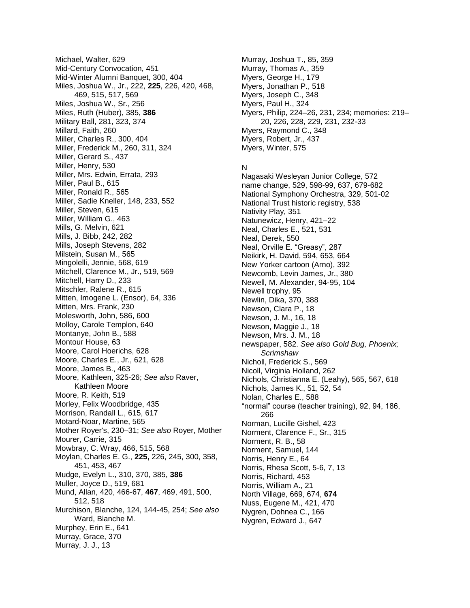Michael, Walter, 629 Mid-Century Convocation, 451 Mid-Winter Alumni Banquet, 300, 404 Miles, Joshua W., Jr., 222, **225**, 226, 420, 468, 469, 515, 517, 569 Miles, Joshua W., Sr., 256 Miles, Ruth (Huber), 385, **386** Military Ball, 281, 323, 374 Millard, Faith, 260 Miller, Charles R., 300, 404 Miller, Frederick M., 260, 311, 324 Miller, Gerard S., 437 Miller, Henry, 530 Miller, Mrs. Edwin, Errata, 293 Miller, Paul B., 615 Miller, Ronald R., 565 Miller, Sadie Kneller, 148, 233, 552 Miller, Steven, 615 Miller, William G., 463 Mills, G. Melvin, 621 Mills, J. Bibb, 242, 282 Mills, Joseph Stevens, 282 Milstein, Susan M., 565 Mingolelli, Jennie, 568, 619 Mitchell, Clarence M., Jr., 519, 569 Mitchell, Harry D., 233 Mitschler, Ralene R., 615 Mitten, Imogene L. (Ensor), 64, 336 Mitten, Mrs. Frank, 230 Molesworth, John, 586, 600 Molloy, Carole Templon, 640 Montanye, John B., 588 Montour House, 63 Moore, Carol Hoerichs, 628 Moore, Charles E., Jr., 621, 628 Moore, James B., 463 Moore, Kathleen, 325-26; *See also* Raver, Kathleen Moore Moore, R. Keith, 519 Morley, Felix Woodbridge, 435 Morrison, Randall L., 615, 617 Motard-Noar, Martine, 565 Mother Royer's, 230–31; *See also* Royer, Mother Mourer, Carrie, 315 Mowbray, C. Wray, 466, 515, 568 Moylan, Charles E. G., **225,** 226, 245, 300, 358, 451, 453, 467 Mudge, Evelyn L., 310, 370, 385, **386** Muller, Joyce D., 519, 681 Mund, Allan, 420, 466-67, **467**, 469, 491, 500, 512, 518 Murchison, Blanche, 124, 144-45, 254; *See also* Ward, Blanche M. Murphey, Erin E., 641 Murray, Grace, 370 Murray, J. J., 13

Murray, Joshua T., 85, 359 Murray, Thomas A., 359 Myers, George H., 179 Myers, Jonathan P., 518 Myers, Joseph C., 348 Myers, Paul H., 324 Myers, Philip, 224–26, 231, 234; memories: 219– 20, 226, 228, 229, 231, 232-33 Myers, Raymond C., 348 Myers, Robert, Jr., 437 Myers, Winter, 575

## N

Nagasaki Wesleyan Junior College, 572 name change, 529, 598-99, 637, 679-682 National Symphony Orchestra, 329, 501-02 National Trust historic registry, 538 Nativity Play, 351 Natunewicz, Henry, 421–22 Neal, Charles E., 521, 531 Neal, Derek, 550 Neal, Orville E. "Greasy", 287 Neikirk, H. David, 594, 653, 664 New Yorker cartoon (Arno), 392 Newcomb, Levin James, Jr., 380 Newell, M. Alexander, 94-95, 104 Newell trophy, 95 Newlin, Dika, 370, 388 Newson, Clara P., 18 Newson, J. M., 16, 18 Newson, Maggie J., 18 Newson, Mrs. J. M., 18 newspaper, 582. *See also Gold Bug, Phoenix; Scrimshaw* Nicholl, Frederick S., 569 Nicoll, Virginia Holland, 262 Nichols, Christianna E. (Leahy), 565, 567, 618 Nichols, James K., 51, 52, 54 Nolan, Charles E., 588 "normal" course (teacher training), 92, 94, 186, 266 Norman, Lucille Gishel, 423 Norment, Clarence F., Sr., 315 Norment, R. B., 58 Norment, Samuel, 144 Norris, Henry E., 64 Norris, Rhesa Scott, 5-6, 7, 13 Norris, Richard, 453 Norris, William A., 21 North Village, 669, 674, **674** Nuss, Eugene M., 421, 470 Nygren, Dohnea C., 166 Nygren, Edward J., 647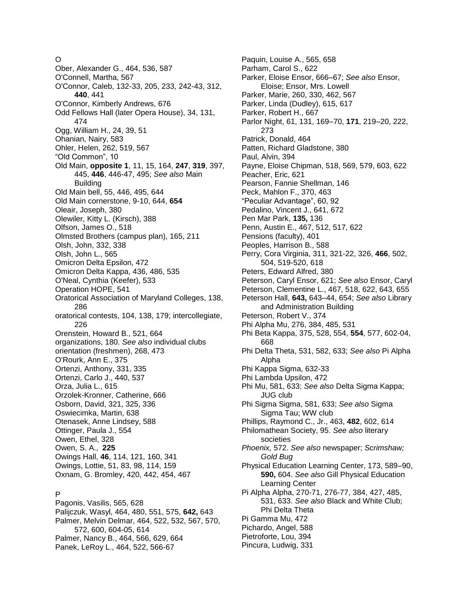O Ober, Alexander G., 464, 536, 587 O'Connell, Martha, 567 O'Connor, Caleb, 132-33, 205, 233, 242-43, 312, **440**, 441 O'Connor, Kimberly Andrews, 676 Odd Fellows Hall (later Opera House), 34, 131, 474 Ogg, William H., 24, 39, 51 Ohanian, Nairy, 583 Ohler, Helen, 262, 519, 567 "Old Common", 10 Old Main, **opposite 1**, 11, 15, 164, **247**, **319**, 397, 445, **446**, 446-47, 495; *See also* Main Building Old Main bell, 55, 446, 495, 644 Old Main cornerstone, 9-10, 644, **654** Oleair, Joseph, 380 Olewiler, Kitty L. (Kirsch), 388 Olfson, James O., 518 Olmsted Brothers (campus plan), 165, 211 Olsh, John, 332, 338 Olsh, John L., 565 Omicron Delta Epsilon, 472 Omicron Delta Kappa, 436, 486, 535 O'Neal, Cynthia (Keefer), 533 Operation HOPE, 541 Oratorical Association of Maryland Colleges, 138, 286 oratorical contests, 104, 138, 179; intercollegiate, 226 Orenstein, Howard B., 521, 664 organizations, 180. *See also* individual clubs orientation (freshmen), 268, 473 O'Rourk, Ann E., 375 Ortenzi, Anthony, 331, 335 Ortenzi, Carlo J., 440, 537 Orza, Julia L., 615 Orzolek-Kronner, Catherine, 666 Osborn, David, 321, 325, 336 Oswiecimka, Martin, 638 Otenasek, Anne Lindsey, 588 Ottinger, Paula J., 554 Owen, Ethel, 328 Owen, S. A., **225** Owings Hall, **46**, 114, 121, 160, 341 Owings, Lottie, 51, 83, 98, 114, 159 Oxnam, G. Bromley, 420, 442, 454, 467

# P

Pagonis, Vasilis, 565, 628 Palijczuk, Wasyl, 464, 480, 551, 575, **642,** 643 Palmer, Melvin Delmar, 464, 522, 532, 567, 570, 572, 600, 604-05, 614 Palmer, Nancy B., 464, 566, 629, 664 Panek, LeRoy L., 464, 522, 566-67

Paquin, Louise A., 565, 658 Parham, Carol S., 622 Parker, Eloise Ensor, 666–67; *See also* Ensor, Eloise; Ensor, Mrs. Lowell Parker, Marie, 260, 330, 462, 567 Parker, Linda (Dudley), 615, 617 Parker, Robert H., 667 Parlor Night, 61, 131, 169–70, **171**, 219–20, 222, 273 Patrick, Donald, 464 Patten, Richard Gladstone, 380 Paul, Alvin, 394 Payne, Eloise Chipman, 518, 569, 579, 603, 622 Peacher, Eric, 621 Pearson, Fannie Shellman, 146 Peck, Mahlon F., 370, 463 "Peculiar Advantage", 60, 92 Pedalino, Vincent J., 641, 672 Pen Mar Park, **135,** 136 Penn, Austin E., 467, 512, 517, 622 Pensions (faculty), 401 Peoples, Harrison B., 588 Perry, Cora Virginia, 311, 321-22, 326, **466**, 502, 504, 519-520, 618 Peters, Edward Alfred, 380 Peterson, Caryl Ensor, 621; *See also* Ensor, Caryl Peterson, Clementine L., 467, 518, 622, 643, 655 Peterson Hall, **643,** 643–44, 654; *See also* Library and Administration Building Peterson, Robert V., 374 Phi Alpha Mu, 276, 384, 485, 531 Phi Beta Kappa, 375, 528, 554, **554**, 577, 602-04, 668 Phi Delta Theta, 531, 582, 633; *See also* Pi Alpha Alpha Phi Kappa Sigma, 632-33 Phi Lambda Upsilon, 472 Phi Mu, 581, 633; *See also* Delta Sigma Kappa; JUG club Phi Sigma Sigma, 581, 633; *See also* Sigma Sigma Tau; WW club Phillips, Raymond C., Jr., 463, **482**, 602, 614 Philomathean Society, 95. *See also* literary societies *Phoenix,* 572. *See also* newspaper; *Scrimshaw; Gold Bug* Physical Education Learning Center, 173, 589–90, **590,** 604. *See also* Gill Physical Education Learning Center Pi Alpha Alpha, 270-71, 276-77, 384, 427, 485, 531, 633. *See also* Black and White Club; Phi Delta Theta Pi Gamma Mu, 472 Pichardo, Angel, 588 Pietroforte, Lou, 394 Pincura, Ludwig, 331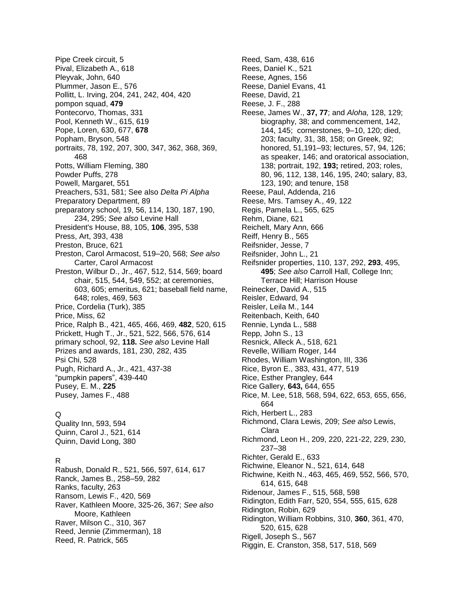Pipe Creek circuit, 5 Pival, Elizabeth A., 618 Pleyvak, John, 640 Plummer, Jason E., 576 Pollitt, L. Irving, 204, 241, 242, 404, 420 pompon squad, **479** Pontecorvo, Thomas, 331 Pool, Kenneth W., 615, 619 Pope, Loren, 630, 677, **678** Popham, Bryson, 548 portraits, 78, 192, 207, 300, 347, 362, 368, 369, 468 Potts, William Fleming, 380 Powder Puffs, 278 Powell, Margaret, 551 Preachers, 531, 581; See also *Delta Pi Alpha* Preparatory Department, 89 preparatory school, 19, 56, 114, 130, 187, 190, 234, 295; *See also* Levine Hall President's House, 88, 105, **106**, 395, 538 Press, Art, 393, 438 Preston, Bruce, 621 Preston, Carol Armacost, 519–20, 568; *See also* Carter, Carol Armacost Preston, Wilbur D., Jr., 467, 512, 514, 569; board chair, 515, 544, 549, 552; at ceremonies, 603, 605; emeritus, 621; baseball field name, 648; roles, 469, 563 Price, Cordelia (Turk), 385 Price, Miss, 62 Price, Ralph B., 421, 465, 466, 469, **482**, 520, 615 Prickett, Hugh T., Jr., 521, 522, 566, 576, 614 primary school, 92, **118.** *See also* Levine Hall Prizes and awards, 181, 230, 282, 435 Psi Chi, 528 Pugh, Richard A., Jr., 421, 437-38 "pumpkin papers", 439-440 Pusey, E. M., **225** Pusey, James F., 488

### Q

Quality Inn, 593, 594 Quinn, Carol J., 521, 614 Quinn, David Long, 380

### R

Rabush, Donald R., 521, 566, 597, 614, 617 Ranck, James B., 258–59, 282 Ranks, faculty, 263 Ransom, Lewis F., 420, 569 Raver, Kathleen Moore, 325-26, 367; *See also* Moore, Kathleen Raver, Milson C., 310, 367 Reed, Jennie (Zimmerman), 18 Reed, R. Patrick, 565

Reed, Sam, 438, 616 Rees, Daniel K., 521 Reese, Agnes, 156 Reese, Daniel Evans, 41 Reese, David, 21 Reese, J. F., 288 Reese, James W., **37, 77**; and *Aloha,* 128, 129; biography, 38; and commencement, 142, 144, 145; cornerstones, 9–10, 120; died, 203; faculty, 31, 38, 158; on Greek, 92; honored, 51,191–93; lectures, 57, 94, 126; as speaker, 146; and oratorical association, 138; portrait, 192, **193;** retired, 203; roles, 80, 96, 112, 138, 146, 195, 240; salary, 83, 123, 190; and tenure, 158 Reese, Paul, Addenda, 216 Reese, Mrs. Tamsey A., 49, 122 Regis, Pamela L., 565, 625 Rehm, Diane, 621 Reichelt, Mary Ann, 666 Reiff, Henry B., 565 Reifsnider, Jesse, 7 Reifsnider, John L., 21 Reifsnider properties, 110, 137, 292, **293**, 495, **495**; *See also* Carroll Hall, College Inn; Terrace Hill; Harrison House Reinecker, David A., 515 Reisler, Edward, 94 Reisler, Leila M., 144 Reitenbach, Keith, 640 Rennie, Lynda L., 588 Repp, John S., 13 Resnick, Alleck A., 518, 621 Revelle, William Roger, 144 Rhodes, William Washington, III, 336 Rice, Byron E., 383, 431, 477, 519 Rice, Esther Prangley, 644 Rice Gallery, **643,** 644, 655 Rice, M. Lee, 518, 568, 594, 622, 653, 655, 656, 664 Rich, Herbert L., 283 Richmond, Clara Lewis, 209; *See also* Lewis, Clara Richmond, Leon H., 209, 220, 221-22, 229, 230, 237–38 Richter, Gerald E., 633 Richwine, Eleanor N., 521, 614, 648 Richwine, Keith N., 463, 465, 469, 552, 566, 570, 614, 615, 648 Ridenour, James F., 515, 568, 598 Ridington, Edith Farr, 520, 554, 555, 615, 628 Ridington, Robin, 629 Ridington, William Robbins, 310, **360**, 361, 470, 520, 615, 628 Rigell, Joseph S., 567 Riggin, E. Cranston, 358, 517, 518, 569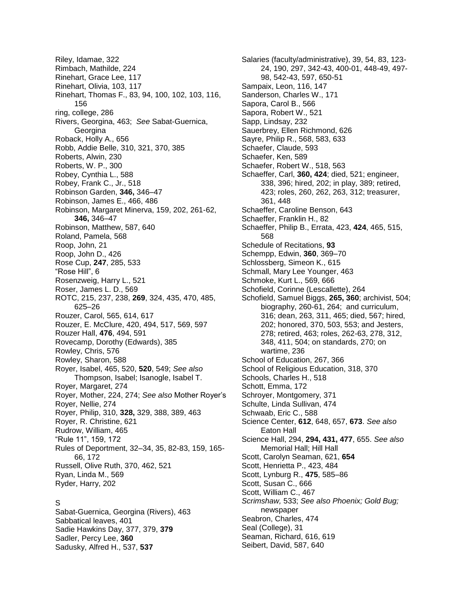Riley, Idamae, 322 Rimbach, Mathilde, 224 Rinehart, Grace Lee, 117 Rinehart, Olivia, 103, 117 Rinehart, Thomas F., 83, 94, 100, 102, 103, 116, 156 ring, college, 286 Rivers, Georgina, 463; *See* Sabat-Guernica, **Georgina** Roback, Holly A., 656 Robb, Addie Belle, 310, 321, 370, 385 Roberts, Alwin, 230 Roberts, W. P., 300 Robey, Cynthia L., 588 Robey, Frank C., Jr., 518 Robinson Garden, **346,** 346–47 Robinson, James E., 466, 486 Robinson, Margaret Minerva, 159, 202, 261-62, **346,** 346–47 Robinson, Matthew, 587, 640 Roland, Pamela, 568 Roop, John, 21 Roop, John D., 426 Rose Cup, **247**, 285, 533 "Rose Hill", 6 Rosenzweig, Harry L., 521 Roser, James L. D., 569 ROTC, 215, 237, 238, **269**, 324, 435, 470, 485, 625–26 Rouzer, Carol, 565, 614, 617 Rouzer, E. McClure, 420, 494, 517, 569, 597 Rouzer Hall, **476**, 494, 591 Rovecamp, Dorothy (Edwards), 385 Rowley, Chris, 576 Rowley, Sharon, 588 Royer, Isabel, 465, 520, **520**, 549; *See also* Thompson, Isabel; Isanogle, Isabel T. Royer, Margaret, 274 Royer, Mother, 224, 274; *See also* Mother Royer's Royer, Nellie, 274 Royer, Philip, 310, **328,** 329, 388, 389, 463 Royer, R. Christine, 621 Rudrow, William, 465 "Rule 11", 159, 172 Rules of Deportment, 32–34, 35, 82-83, 159, 165- 66, 172 Russell, Olive Ruth, 370, 462, 521 Ryan, Linda M., 569 Ryder, Harry, 202

## S

Sabat-Guernica, Georgina (Rivers), 463 Sabbatical leaves, 401 Sadie Hawkins Day, 377, 379, **379** Sadler, Percy Lee, **360** Sadusky, Alfred H., 537, **537**

Salaries (faculty/administrative), 39, 54, 83, 123- 24, 190, 297, 342-43, 400-01, 448-49, 497- 98, 542-43, 597, 650-51 Sampaix, Leon, 116, 147 Sanderson, Charles W., 171 Sapora, Carol B., 566 Sapora, Robert W., 521 Sapp, Lindsay, 232 Sauerbrey, Ellen Richmond, 626 Sayre, Philip R., 568, 583, 633 Schaefer, Claude, 593 Schaefer, Ken, 589 Schaefer, Robert W., 518, 563 Schaeffer, Carl, **360, 424**; died, 521; engineer, 338, 396; hired, 202; in play, 389; retired, 423; roles, 260, 262, 263, 312; treasurer, 361, 448 Schaeffer, Caroline Benson, 643 Schaeffer, Franklin H., 82 Schaeffer, Philip B., Errata, 423, **424**, 465, 515, 568 Schedule of Recitations, **93** Schempp, Edwin, **360**, 369–70 Schlossberg, Simeon K., 615 Schmall, Mary Lee Younger, 463 Schmoke, Kurt L., 569, 666 Schofield, Corinne (Lescallette), 264 Schofield, Samuel Biggs, **265, 360**; archivist, 504; biography, 260-61, 264; and curriculum, 316; dean, 263, 311, 465; died, 567; hired, 202; honored, 370, 503, 553; and Jesters, 278; retired, 463; roles, 262-63, 278, 312, 348, 411, 504; on standards, 270; on wartime, 236 School of Education, 267, 366 School of Religious Education, 318, 370 Schools, Charles H., 518 Schott, Emma, 172 Schroyer, Montgomery, 371 Schulte, Linda Sullivan, 474 Schwaab, Eric C., 588 Science Center, **612**, 648, 657, **673**. *See also* Eaton Hall Science Hall, 294, **294, 431, 477**, 655. *See also* Memorial Hall; Hill Hall Scott, Carolyn Seaman, 621, **654** Scott, Henrietta P., 423, 484 Scott, Lynburg R., **475**, 585–86 Scott, Susan C., 666 Scott, William C., 467 *Scrimshaw,* 533; *See also Phoenix; Gold Bug;* newspaper Seabron, Charles, 474 Seal (College), 31 Seaman, Richard, 616, 619 Seibert, David, 587, 640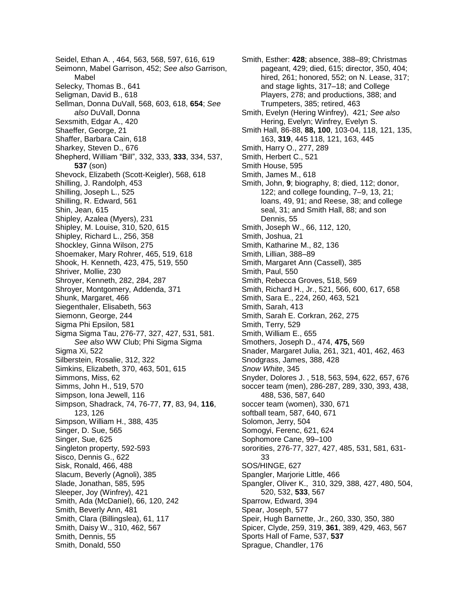Seidel, Ethan A. , 464, 563, 568, 597, 616, 619 Seimonn, Mabel Garrison, 452; *See also* Garrison, Mabel Selecky, Thomas B., 641 Seligman, David B., 618 Sellman, Donna DuVall, 568, 603, 618, **654**; *See also* DuVall, Donna Sexsmith, Edgar A., 420 Shaeffer, George, 21 Shaffer, Barbara Cain, 618 Sharkey, Steven D., 676 Shepherd, William "Bill", 332, 333, **333**, 334, 537, **537** (son) Shevock, Elizabeth (Scott-Keigler), 568, 618 Shilling, J. Randolph, 453 Shilling, Joseph L., 525 Shilling, R. Edward, 561 Shin, Jean, 615 Shipley, Azalea (Myers), 231 Shipley, M. Louise, 310, 520, 615 Shipley, Richard L., 256, 358 Shockley, Ginna Wilson, 275 Shoemaker, Mary Rohrer, 465, 519, 618 Shook, H. Kenneth, 423, 475, 519, 550 Shriver, Mollie, 230 Shroyer, Kenneth, 282, 284, 287 Shroyer, Montgomery, Addenda, 371 Shunk, Margaret, 466 Siegenthaler, Elisabeth, 563 Siemonn, George, 244 Sigma Phi Epsilon, 581 Sigma Sigma Tau, 276-77, 327, 427, 531, 581. *See also* WW Club; Phi Sigma Sigma Sigma Xi, 522 Silberstein, Rosalie, 312, 322 Simkins, Elizabeth, 370, 463, 501, 615 Simmons, Miss, 62 Simms, John H., 519, 570 Simpson, Iona Jewell, 116 Simpson, Shadrack, 74, 76-77, **77**, 83, 94, **116**, 123, 126 Simpson, William H., 388, 435 Singer, D. Sue, 565 Singer, Sue, 625 Singleton property, 592-593 Sisco, Dennis G., 622 Sisk, Ronald, 466, 488 Slacum, Beverly (Agnoli), 385 Slade, Jonathan, 585, 595 Sleeper, Joy (Winfrey), 421 Smith, Ada (McDaniel), 66, 120, 242 Smith, Beverly Ann, 481 Smith, Clara (Billingslea), 61, 117 Smith, Daisy W., 310, 462, 567 Smith, Dennis, 55 Smith, Donald, 550

Smith, Esther: **428**; absence, 388–89; Christmas pageant, 429; died, 615; director, 350, 404; hired, 261; honored, 552; on N. Lease, 317; and stage lights, 317–18; and College Players, 278; and productions, 388; and Trumpeters, 385; retired, 463 Smith, Evelyn (Hering Winfrey), 421*; See also*  Hering, Evelyn; Winfrey, Evelyn S. Smith Hall, 86-88, **88, 100**, 103-04, 118, 121, 135, 163, **319**, 445 118, 121, 163, 445 Smith, Harry O., 277, 289 Smith, Herbert C., 521 Smith House, 595 Smith, James M., 618 Smith, John, **9**; biography, 8; died, 112; donor, 122; and college founding, 7–9, 13, 21; loans, 49, 91; and Reese, 38; and college seal, 31; and Smith Hall, 88; and son Dennis, 55 Smith, Joseph W., 66, 112, 120, Smith, Joshua, 21 Smith, Katharine M., 82, 136 Smith, Lillian, 388–89 Smith, Margaret Ann (Cassell), 385 Smith, Paul, 550 Smith, Rebecca Groves, 518, 569 Smith, Richard H., Jr., 521, 566, 600, 617, 658 Smith, Sara E., 224, 260, 463, 521 Smith, Sarah, 413 Smith, Sarah E. Corkran, 262, 275 Smith, Terry, 529 Smith, William E., 655 Smothers, Joseph D., 474, **475,** 569 Snader, Margaret Julia, 261, 321, 401, 462, 463 Snodgrass, James, 388, 428 *Snow White*, 345 Snyder, Dolores J. , 518, 563, 594, 622, 657, 676 soccer team (men), 286-287, 289, 330, 393, 438, 488, 536, 587, 640 soccer team (women), 330, 671 softball team, 587, 640, 671 Solomon, Jerry, 504 Somogyi, Ferenc, 621, 624 Sophomore Cane, 99–100 sororities, 276-77, 327, 427, 485, 531, 581, 631- 33 SOS/HINGE, 627 Spangler, Marjorie Little, 466 Spangler, Oliver K., 310, 329, 388, 427, 480, 504, 520, 532, **533**, 567 Sparrow, Edward, 394 Spear, Joseph, 577 Speir, Hugh Barnette, Jr., 260, 330, 350, 380 Spicer, Clyde, 259, 319, **361**, 389, 429, 463, 567 Sports Hall of Fame, 537, **537** Sprague, Chandler, 176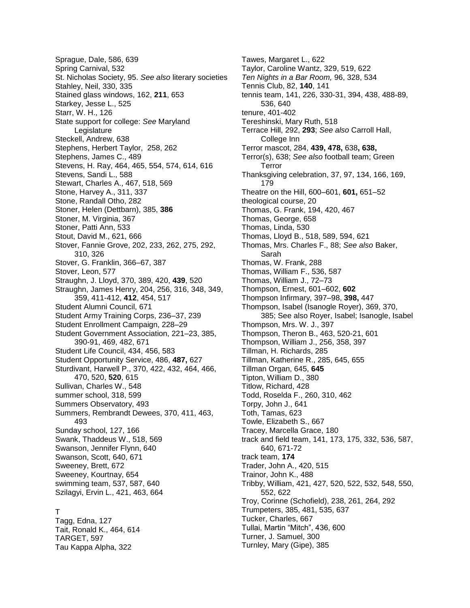Sprague, Dale, 586, 639 Spring Carnival, 532 St. Nicholas Society, 95. *See also* literary societies Stahley, Neil, 330, 335 Stained glass windows, 162, **211**, 653 Starkey, Jesse L., 525 Starr, W. H., 126 State support for college: *See* Maryland Legislature Steckell, Andrew, 638 Stephens, Herbert Taylor, 258, 262 Stephens, James C., 489 Stevens, H. Ray, 464, 465, 554, 574, 614, 616 Stevens, Sandi L., 588 Stewart, Charles A., 467, 518, 569 Stone, Harvey A., 311, 337 Stone, Randall Otho, 282 Stoner, Helen (Dettbarn), 385, **386** Stoner, M. Virginia, 367 Stoner, Patti Ann, 533 Stout, David M., 621, 666 Stover, Fannie Grove, 202, 233, 262, 275, 292, 310, 326 Stover, G. Franklin, 366–67, 387 Stover, Leon, 577 Straughn, J. Lloyd, 370, 389, 420, **439**, 520 Straughn, James Henry, 204, 256, 316, 348, 349, 359, 411-412, **412**, 454, 517 Student Alumni Council, 671 Student Army Training Corps, 236–37, 239 Student Enrollment Campaign, 228–29 Student Government Association, 221–23, 385, 390-91, 469, 482, 671 Student Life Council, 434, 456, 583 Student Opportunity Service, 486, **487,** 627 Sturdivant, Harwell P., 370, 422, 432, 464, 466, 470, 520, **520**, 615 Sullivan, Charles W., 548 summer school, 318, 599 Summers Observatory, 493 Summers, Rembrandt Dewees, 370, 411, 463, 493 Sunday school, 127, 166 Swank, Thaddeus W., 518, 569 Swanson, Jennifer Flynn, 640 Swanson, Scott, 640, 671 Sweeney, Brett, 672 Sweeney, Kourtnay, 654 swimming team, 537, 587, 640 Szilagyi, Ervin L., 421, 463, 664 T

Tagg, Edna, 127 Tait, Ronald K., 464, 614 TARGET, 597 Tau Kappa Alpha, 322

Tawes, Margaret L., 622 Taylor, Caroline Wantz, 329, 519, 622 *Ten Nights in a Bar Room,* 96, 328, 534 Tennis Club, 82, **140**, 141 tennis team, 141, 226, 330-31, 394, 438, 488-89, 536, 640 tenure, 401-402 Tereshinski, Mary Ruth, 518 Terrace Hill, 292, **293**; *See also* Carroll Hall, College Inn Terror mascot, 284, **439, 478,** 638**, 638,**  Terror(s), 638; *See also* football team; Green Terror Thanksgiving celebration, 37, 97, 134, 166, 169, 179 Theatre on the Hill, 600–601, **601,** 651–52 theological course, 20 Thomas, G. Frank, 194, 420, 467 Thomas, George, 658 Thomas, Linda, 530 Thomas, Lloyd B., 518, 589, 594, 621 Thomas, Mrs. Charles F., 88; *See also* Baker, Sarah Thomas, W. Frank, 288 Thomas, William F., 536, 587 Thomas, William J., 72–73 Thompson, Ernest, 601–602, **602** Thompson Infirmary, 397–98, **398,** 447 Thompson, Isabel (Isanogle Royer), 369, 370, 385; See also Royer, Isabel; Isanogle, Isabel Thompson, Mrs. W. J., 397 Thompson, Theron B., 463, 520-21, 601 Thompson, William J., 256, 358, 397 Tillman, H. Richards, 285 Tillman, Katherine R., 285, 645, 655 Tillman Organ, 645, **645** Tipton, William D., 380 Titlow, Richard, 428 Todd, Roselda F., 260, 310, 462 Torpy, John J., 641 Toth, Tamas, 623 Towle, Elizabeth S., 667 Tracey, Marcella Grace, 180 track and field team, 141, 173, 175, 332, 536, 587, 640, 671-72 track team, **174** Trader, John A., 420, 515 Trainor, John K., 488 Tribby, William, 421, 427, 520, 522, 532, 548, 550, 552, 622 Troy, Corinne (Schofield), 238, 261, 264, 292 Trumpeters, 385, 481, 535, 637 Tucker, Charles, 667 Tullai, Martin "Mitch", 436, 600 Turner, J. Samuel, 300 Turnley, Mary (Gipe), 385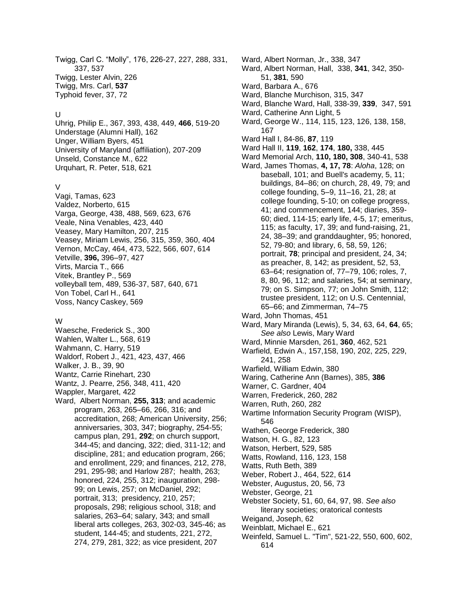Twigg, Carl C. "Molly", 176, 226-27, 227, 288, 331, 337, 537 Twigg, Lester Alvin, 226 Twigg, Mrs. Carl, **537** Typhoid fever, 37, 72

#### U

Uhrig, Philip E., 367, 393, 438, 449, **466**, 519-20 Understage (Alumni Hall), 162 Unger, William Byers, 451 University of Maryland (affiliation), 207-209 Unseld, Constance M., 622 Urquhart, R. Peter, 518, 621

#### V

Vagi, Tamas, 623 Valdez, Norberto, 615 Varga, George, 438, 488, 569, 623, 676 Veale, Nina Venables, 423, 440 Veasey, Mary Hamilton, 207, 215 Veasey, Miriam Lewis, 256, 315, 359, 360, 404 Vernon, McCay, 464, 473, 522, 566, 607, 614 Vetville, **396,** 396–97, 427 Virts, Marcia T., 666 Vitek, Brantley P., 569 volleyball tem, 489, 536-37, 587, 640, 671 Von Tobel, Carl H., 641 Voss, Nancy Caskey, 569

### W

Waesche, Frederick S., 300 Wahlen, Walter L., 568, 619 Wahmann, C. Harry, 519 Waldorf, Robert J., 421, 423, 437, 466 Walker, J. B., 39, 90 Wantz, Carrie Rinehart, 230 Wantz, J. Pearre, 256, 348, 411, 420 Wappler, Margaret, 422 Ward, Albert Norman, **255, 313**; and academic program, 263, 265–66, 266, 316; and accreditation, 268; American University, 256; anniversaries, 303, 347; biography, 254-55; campus plan, 291, **292**; on church support, 344-45; and dancing, 322; died, 311-12; and discipline, 281; and education program, 266; and enrollment, 229; and finances, 212, 278, 291, 295-98; and Harlow 287; health, 263; honored, 224, 255, 312; inauguration, 298- 99; on Lewis, 257; on McDaniel, 292; portrait, 313; presidency, 210, 257; proposals, 298; religious school, 318; and salaries, 263–64; salary, 343; and small liberal arts colleges, 263, 302-03, 345-46; as student, 144-45; and students, 221, 272, 274, 279, 281, 322; as vice president, 207

Ward, Albert Norman, Jr., 338, 347 Ward, Albert Norman, Hall, 338, **341**, 342, 350- 51, **381**, 590 Ward, Barbara A., 676 Ward, Blanche Murchison, 315, 347 Ward, Blanche Ward, Hall, 338-39, **339**, 347, 591 Ward, Catherine Ann Light, 5 Ward, George W., 114, 115, 123, 126, 138, 158, 167 Ward Hall I, 84-86, **87**, 119 Ward Hall II, **119**, **162**, **174**, **180,** 338, 445 Ward Memorial Arch, **110, 180, 308**, 340-41, 538 Ward, James Thomas, **4, 17, 78**: *Aloha*, 128; on baseball, 101; and Buell's academy, 5, 11; buildings, 84–86; on church, 28, 49, 79; and college founding, 5–9, 11–16, 21, 28; at college founding, 5-10; on college progress, 41; and commencement, 144; diaries, 359- 60; died, 114-15; early life, 4-5, 17; emeritus, 115; as faculty, 17, 39; and fund-raising, 21, 24, 38–39; and granddaughter, 95; honored, 52, 79-80; and library, 6, 58, 59, 126; portrait, **78**; principal and president, 24, 34; as preacher, 8, 142; as president, 52, 53, 63–64; resignation of, 77–79, 106; roles, 7, 8, 80, 96, 112; and salaries, 54; at seminary, 79; on S. Simpson, 77; on John Smith, 112; trustee president, 112; on U.S. Centennial, 65–66; and Zimmerman, 74–75 Ward, John Thomas, 451 Ward, Mary Miranda (Lewis), 5, 34, 63, 64, **64**, 65; *See also* Lewis, Mary Ward Ward, Minnie Marsden, 261, **360**, 462, 521 Warfield, Edwin A., 157,158, 190, 202, 225, 229, 241, 258 Warfield, William Edwin, 380 Waring, Catherine Ann (Barnes), 385, **386** Warner, C. Gardner, 404 Warren, Frederick, 260, 282 Warren, Ruth, 260, 282 Wartime Information Security Program (WISP), 546 Wathen, George Frederick, 380 Watson, H. G., 82, 123 Watson, Herbert, 529, 585 Watts, Rowland, 116, 123, 158 Watts, Ruth Beth, 389 Weber, Robert J., 464, 522, 614 Webster, Augustus, 20, 56, 73 Webster, George, 21 Webster Society, 51, 60, 64, 97, 98. *See also* literary societies; oratorical contests Weigand, Joseph, 62 Weinblatt, Michael E., 621

Weinfeld, Samuel L. "Tim", 521-22, 550, 600, 602, 614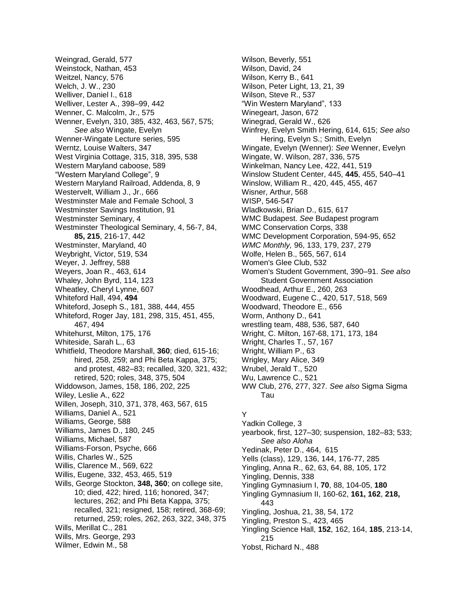Weingrad, Gerald, 577 Weinstock, Nathan, 453 Weitzel, Nancy, 576 Welch, J. W., 230 Welliver, Daniel I., 618 Welliver, Lester A., 398–99, 442 Wenner, C. Malcolm, Jr., 575 Wenner, Evelyn, 310, 385, 432, 463, 567, 575; *See also* Wingate, Evelyn Wenner-Wingate Lecture series, 595 Werntz, Louise Walters, 347 West Virginia Cottage, 315, 318, 395, 538 Western Maryland caboose, 589 "Western Maryland College", 9 Western Maryland Railroad, Addenda, 8, 9 Westervelt, William J., Jr., 666 Westminster Male and Female School, 3 Westminster Savings Institution, 91 Westminster Seminary, 4 Westminster Theological Seminary, 4, 56-7, 84, **85, 215**, 216-17, 442 Westminster, Maryland, 40 Weybright, Victor, 519, 534 Weyer, J. Jeffrey, 588 Weyers, Joan R., 463, 614 Whaley, John Byrd, 114, 123 Wheatley, Cheryl Lynne, 607 Whiteford Hall, 494, **494** Whiteford, Joseph S., 181, 388, 444, 455 Whiteford, Roger Jay, 181, 298, 315, 451, 455, 467, 494 Whitehurst, Milton, 175, 176 Whiteside, Sarah L., 63 Whitfield, Theodore Marshall, **360**; died, 615-16; hired, 258, 259; and Phi Beta Kappa, 375; and protest, 482–83; recalled, 320, 321, 432; retired, 520; roles, 348, 375, 504 Widdowson, James, 158, 186, 202, 225 Wiley, Leslie A., 622 Willen, Joseph, 310, 371, 378, 463, 567, 615 Williams, Daniel A., 521 Williams, George, 588 Williams, James D., 180, 245 Williams, Michael, 587 Williams-Forson, Psyche, 666 Willis, Charles W., 525 Willis, Clarence M., 569, 622 Willis, Eugene, 332, 453, 465, 519 Wills, George Stockton, **348, 360**; on college site, 10; died, 422; hired, 116; honored, 347; lectures, 262; and Phi Beta Kappa, 375; recalled, 321; resigned, 158; retired, 368-69; returned, 259; roles, 262, 263, 322, 348, 375 Wills, Merillat C., 281 Wills, Mrs. George, 293 Wilmer, Edwin M., 58

Wilson, Beverly, 551 Wilson, David, 24 Wilson, Kerry B., 641 Wilson, Peter Light, 13, 21, 39 Wilson, Steve R., 537 "Win Western Maryland", 133 Winegeart, Jason, 672 Winegrad, Gerald W., 626 Winfrey, Evelyn Smith Hering, 614, 615; *See also* Hering, Evelyn S.; Smith, Evelyn Wingate, Evelyn (Wenner): *See* Wenner, Evelyn Wingate, W. Wilson, 287, 336, 575 Winkelman, Nancy Lee, 422, 441, 519 Winslow Student Center, 445, **445**, 455, 540–41 Winslow, William R., 420, 445, 455, 467 Wisner, Arthur, 568 WISP, 546-547 Wladkowski, Brian D., 615, 617 WMC Budapest. *See* Budapest program WMC Conservation Corps, 338 WMC Development Corporation, 594-95, 652 *WMC Monthly,* 96, 133, 179, 237, 279 Wolfe, Helen B., 565, 567, 614 Women's Glee Club, 532 Women's Student Government, 390–91. *See also* Student Government Association Woodhead, Arthur E., 260, 263 Woodward, Eugene C., 420, 517, 518, 569 Woodward, Theodore E., 656 Worm, Anthony D., 641 wrestling team, 488, 536, 587, 640 Wright, C. Milton, 167-68, 171, 173, 184 Wright, Charles T., 57, 167 Wright, William P., 63 Wrigley, Mary Alice, 349 Wrubel, Jerald T., 520 Wu, Lawrence C., 521 WW Club, 276, 277, 327. *See also* Sigma Sigma Tau Y Yadkin College, 3 yearbook, first, 127–30; suspension, 182–83; 533;

*See also Aloha* Yedinak, Peter D., 464, 615 Yells (class), 129, 136, 144, 176-77, 285 Yingling, Anna R., 62, 63, 64, 88, 105, 172 Yingling, Dennis, 338 Yingling Gymnasium I, **70**, 88, 104-05, **180** Yingling Gymnasium II, 160-62, **161, 162**, **218,**  443 Yingling, Joshua, 21, 38, 54, 172 Yingling, Preston S., 423, 465 Yingling Science Hall, **152**, 162, 164, **185**, 213-14, 215

Yobst, Richard N., 488